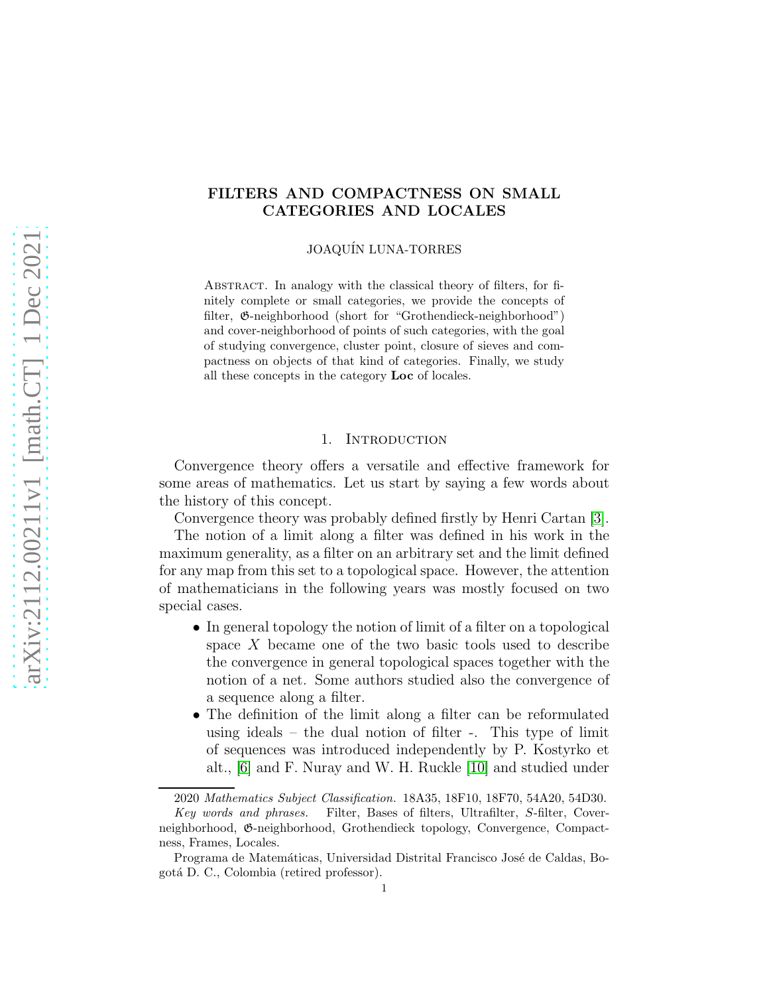# FILTERS AND COMPACTNESS ON SMALL CATEGORIES AND LOCALES

JOAQUÍN LUNA-TORRES

Abstract. In analogy with the classical theory of filters, for finitely complete or small categories, we provide the concepts of filter, G-neighborhood (short for "Grothendieck-neighborhood") and cover-neighborhood of points of such categories, with the goal of studying convergence, cluster point, closure of sieves and compactness on objects of that kind of categories. Finally, we study all these concepts in the category Loc of locales.

#### 1. INTRODUCTION

Convergence theory offers a versatile and effective framework for some areas of mathematics. Let us start by saying a few words about the history of this concept.

Convergence theory was probably defined firstly by Henri Cartan [\[3\]](#page-19-0).

The notion of a limit along a filter was defined in his work in the maximum generality, as a filter on an arbitrary set and the limit defined for any map from this set to a topological space. However, the attention of mathematicians in the following years was mostly focused on two special cases.

- In general topology the notion of limit of a filter on a topological space X became one of the two basic tools used to describe the convergence in general topological spaces together with the notion of a net. Some authors studied also the convergence of a sequence along a filter.
- The definition of the limit along a filter can be reformulated using ideals – the dual notion of filter -. This type of limit of sequences was introduced independently by P. Kostyrko et alt., [\[6\]](#page-19-1) and F. Nuray and W. H. Ruckle [\[10\]](#page-19-2) and studied under

<sup>2020</sup> Mathematics Subject Classification. 18A35, 18F10, 18F70, 54A20, 54D30.

Key words and phrases. Filter, Bases of filters, Ultrafilter, S-filter, Coverneighborhood, G-neighborhood, Grothendieck topology, Convergence, Compactness, Frames, Locales.

Programa de Matemáticas, Universidad Distrital Francisco José de Caldas, Bogot´a D. C., Colombia (retired professor).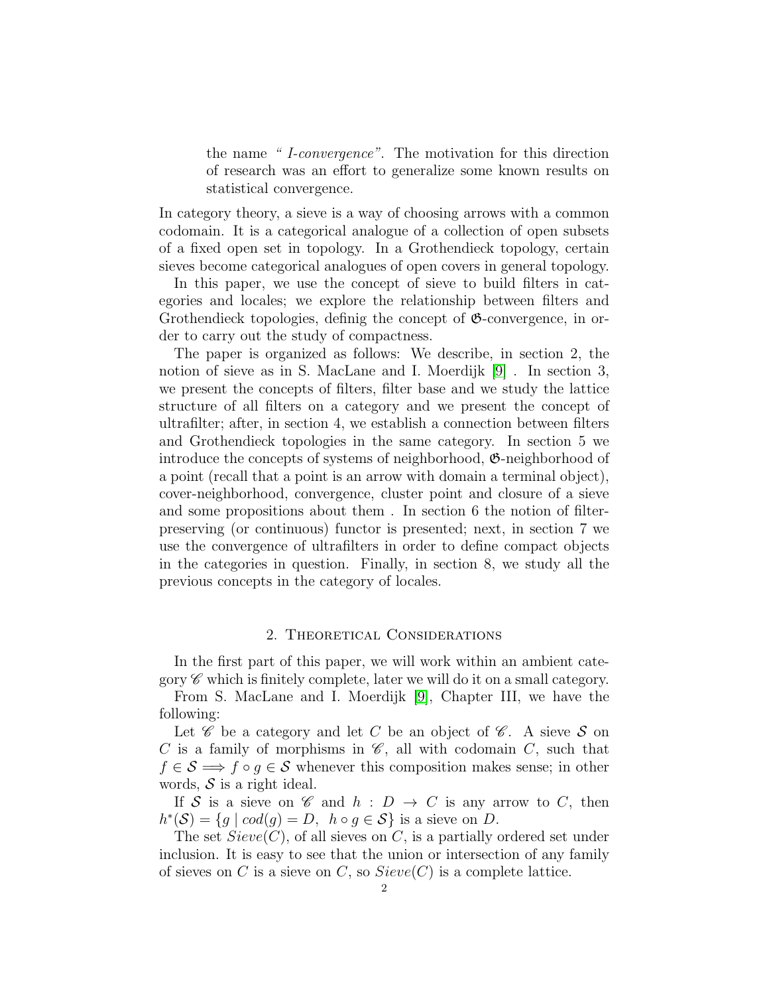the name " I-convergence". The motivation for this direction of research was an effort to generalize some known results on statistical convergence.

In category theory, a sieve is a way of choosing arrows with a common codomain. It is a categorical analogue of a collection of open subsets of a fixed open set in topology. In a Grothendieck topology, certain sieves become categorical analogues of open covers in general topology.

In this paper, we use the concept of sieve to build filters in categories and locales; we explore the relationship between filters and Grothendieck topologies, definig the concept of  $\mathfrak{G}$ -convergence, in order to carry out the study of compactness.

The paper is organized as follows: We describe, in section 2, the notion of sieve as in S. MacLane and I. Moerdijk [\[9\]](#page-19-3) . In section 3, we present the concepts of filters, filter base and we study the lattice structure of all filters on a category and we present the concept of ultrafilter; after, in section 4, we establish a connection between filters and Grothendieck topologies in the same category. In section 5 we introduce the concepts of systems of neighborhood, G-neighborhood of a point (recall that a point is an arrow with domain a terminal object), cover-neighborhood, convergence, cluster point and closure of a sieve and some propositions about them . In section 6 the notion of filterpreserving (or continuous) functor is presented; next, in section 7 we use the convergence of ultrafilters in order to define compact objects in the categories in question. Finally, in section 8, we study all the previous concepts in the category of locales.

# 2. Theoretical Considerations

In the first part of this paper, we will work within an ambient category  $\mathscr C$  which is finitely complete, later we will do it on a small category.

From S. MacLane and I. Moerdijk [\[9\]](#page-19-3), Chapter III, we have the following:

Let  $\mathscr C$  be a category and let C be an object of  $\mathscr C$ . A sieve S on C is a family of morphisms in  $\mathscr{C}$ , all with codomain C, such that  $f \in \mathcal{S} \Longrightarrow f \circ g \in \mathcal{S}$  whenever this composition makes sense; in other words,  $S$  is a right ideal.

If S is a sieve on C and  $h : D \to C$  is any arrow to C, then  $h^*(\mathcal{S}) = \{g \mid cod(g) = D, \ h \circ g \in \mathcal{S}\}\$ is a sieve on D.

The set  $Sieve(C)$ , of all sieves on C, is a partially ordered set under inclusion. It is easy to see that the union or intersection of any family of sieves on C is a sieve on C, so  $Sieve(C)$  is a complete lattice.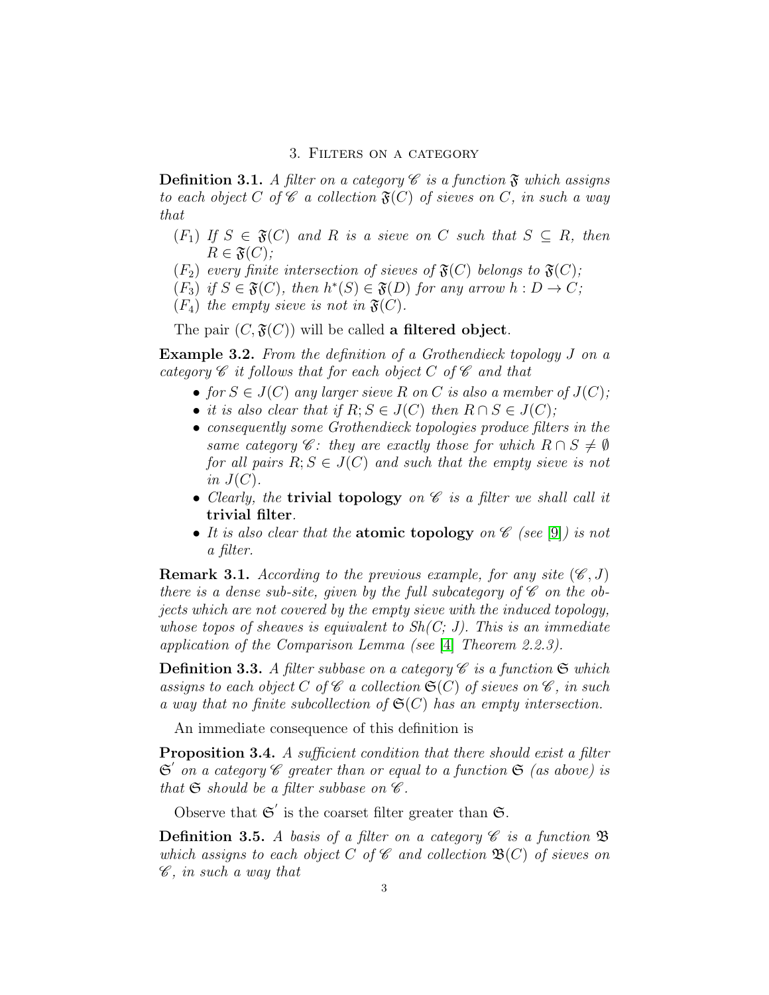### 3. Filters on a category

**Definition 3.1.** A filter on a category  $\mathscr C$  is a function  $\mathfrak F$  which assigns to each object C of  $\mathscr C$  a collection  $\mathfrak{F}(C)$  of sieves on C, in such a way that

- $(F_1)$  If  $S \in \mathfrak{F}(C)$  and R is a sieve on C such that  $S \subseteq R$ , then  $R \in \mathfrak{F}(C)$ ;
- $(F_2)$  every finite intersection of sieves of  $\mathfrak{F}(C)$  belongs to  $\mathfrak{F}(C)$ ;
- $(F_3)$  if  $S \in \mathfrak{F}(C)$ , then  $h^*(S) \in \mathfrak{F}(D)$  for any arrow  $h: D \to C$ ;
- $(F_4)$  the empty sieve is not in  $\mathfrak{F}(C)$ .

The pair  $(C, \mathfrak{F}(C))$  will be called a filtered object.

Example 3.2. From the definition of a Grothendieck topology J on a category  $\mathscr C$  it follows that for each object C of  $\mathscr C$  and that

- for  $S \in J(C)$  any larger sieve R on C is also a member of  $J(C)$ ;
- it is also clear that if  $R; S \in J(C)$  then  $R \cap S \in J(C)$ ;
- consequently some Grothendieck topologies produce filters in the same category  $\mathscr{C}$ : they are exactly those for which  $R \cap S \neq \emptyset$ for all pairs  $R; S \in J(C)$  and such that the empty sieve is not in  $J(C)$ .
- Clearly, the **trivial topology** on  $\mathscr C$  is a filter we shall call it trivial filter.
- It is also clear that the **atomic topology** on  $\mathscr{C}$  (see [\[9\]](#page-19-3)) is not a filter.

**Remark 3.1.** According to the previous example, for any site  $(\mathscr{C}, J)$ there is a dense sub-site, given by the full subcategory of  $\mathscr C$  on the objects which are not covered by the empty sieve with the induced topology, whose topos of sheaves is equivalent to  $Sh(C; J)$ . This is an immediate application of the Comparison Lemma (see [\[4\]](#page-19-4) Theorem 2.2.3).

**Definition 3.3.** A filter subbase on a category  $\mathscr C$  is a function  $\mathfrak S$  which assigns to each object C of  $\mathscr C$  a collection  $\mathfrak{S}(C)$  of sieves on  $\mathscr C$ , in such a way that no finite subcollection of  $\mathfrak{S}(C)$  has an empty intersection.

An immediate consequence of this definition is

**Proposition 3.4.** A sufficient condition that there should exist a filter  $\mathfrak{S}'$  on a category  $\mathscr C$  greater than or equal to a function  $\mathfrak{S}$  (as above) is that  $\mathfrak S$  should be a filter subbase on  $\mathscr C$ .

Observe that  $\mathfrak{S}'$  is the coarset filter greater than  $\mathfrak{S}$ .

**Definition 3.5.** A basis of a filter on a category  $\mathscr C$  is a function  $\mathfrak B$ which assigns to each object C of  $\mathscr C$  and collection  $\mathfrak B(C)$  of sieves on  $\mathscr{C}$ , in such a way that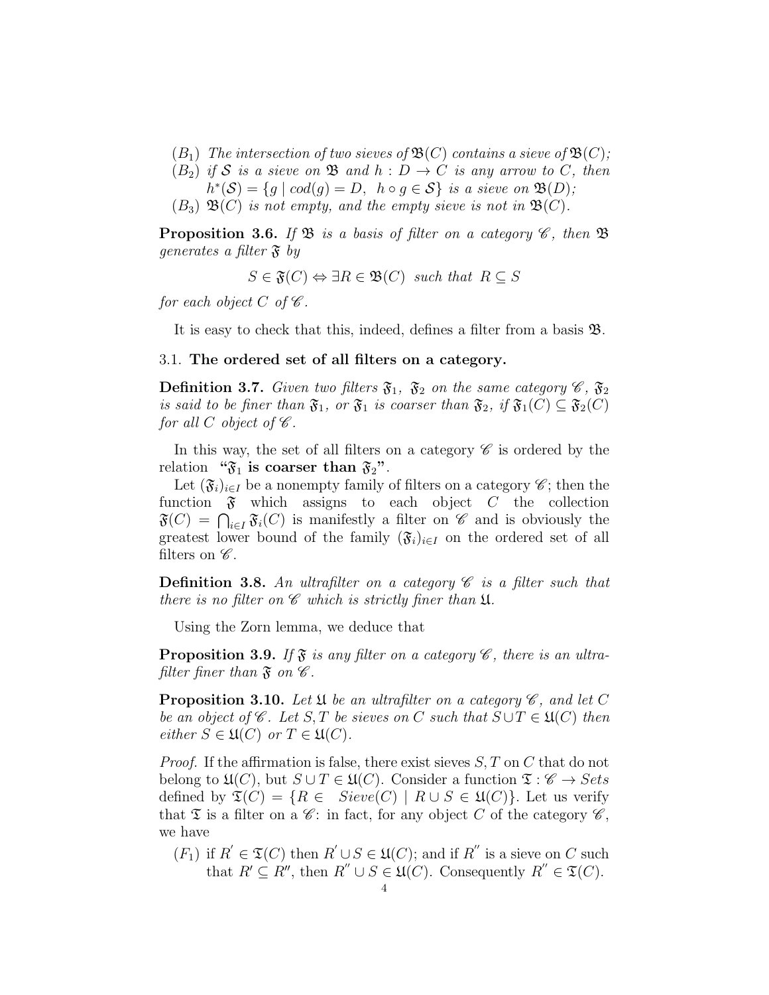- $(B_1)$  The intersection of two sieves of  $\mathfrak{B}(C)$  contains a sieve of  $\mathfrak{B}(C)$ ;
- $(B_2)$  if S is a sieve on B and  $h: D \to C$  is any arrow to C, then  $h^*(\mathcal{S}) = \{g \mid cod(g) = D, \ h \circ g \in \mathcal{S} \}$  is a sieve on  $\mathfrak{B}(D)$ ;
- $(B_3) \mathfrak{B}(C)$  is not empty, and the empty sieve is not in  $\mathfrak{B}(C)$ .

**Proposition 3.6.** If  $\mathfrak{B}$  is a basis of filter on a category  $\mathscr{C}$ , then  $\mathfrak{B}$ generates a filter  $\mathfrak{F}$  by

 $S \in \mathfrak{F}(C) \Leftrightarrow \exists R \in \mathfrak{B}(C)$  such that  $R \subseteq S$ 

for each object C of  $\mathscr C$ .

It is easy to check that this, indeed, defines a filter from a basis B.

# 3.1. The ordered set of all filters on a category.

**Definition 3.7.** Given two filters  $\mathfrak{F}_1$ ,  $\mathfrak{F}_2$  on the same category  $\mathscr{C}$ ,  $\mathfrak{F}_2$ is said to be finer than  $\mathfrak{F}_1$ , or  $\mathfrak{F}_1$  is coarser than  $\mathfrak{F}_2$ , if  $\mathfrak{F}_1(C) \subseteq \mathfrak{F}_2(C)$ for all C object of  $\mathscr C$ .

In this way, the set of all filters on a category  $\mathscr C$  is ordered by the relation " $\mathfrak{F}_1$  is coarser than  $\mathfrak{F}_2$ ".

Let  $(\mathfrak{F}_i)_{i\in I}$  be a nonempty family of filters on a category  $\mathscr{C}$ ; then the function  $\mathfrak F$  which assigns to each object C the collection  $\mathfrak{F}(C) = \bigcap_{i \in I} \mathfrak{F}_i(C)$  is manifestly a filter on  $\mathscr{C}$  and is obviously the greatest lower bound of the family  $(\mathfrak{F}_i)_{i\in I}$  on the ordered set of all filters on  $\mathscr{C}$ .

**Definition 3.8.** An ultrafilter on a category  $\mathscr C$  is a filter such that there is no filter on  $\mathscr C$  which is strictly finer than  $\mathfrak U$ .

Using the Zorn lemma, we deduce that

<span id="page-3-0"></span>**Proposition 3.9.** If  $\mathfrak{F}$  is any filter on a category  $\mathscr{C}$ , there is an ultrafilter finer than  $\mathfrak{F}$  on  $\mathscr{C}$ .

**Proposition 3.10.** Let  $\mathfrak U$  be an ultrafilter on a category  $\mathscr C$ , and let C be an object of  $\mathscr C$ . Let S, T be sieves on C such that  $S \cup T \in \mathfrak U(C)$  then either  $S \in \mathfrak{U}(C)$  or  $T \in \mathfrak{U}(C)$ .

*Proof.* If the affirmation is false, there exist sieves  $S, T$  on C that do not belong to  $\mathfrak{U}(C)$ , but  $S \cup T \in \mathfrak{U}(C)$ . Consider a function  $\mathfrak{T}: \mathscr{C} \to \mathfrak{Sets}$ defined by  $\mathfrak{T}(C) = \{ R \in Sieve(C) \mid R \cup S \in \mathfrak{U}(C) \}.$  Let us verify that  $\mathfrak T$  is a filter on a  $\mathscr C$ : in fact, for any object C of the category  $\mathscr C$ , we have

 $(F_1)$  if  $R' \in \mathfrak{T}(C)$  then  $R' \cup S \in \mathfrak{U}(C)$ ; and if  $R''$  is a sieve on C such that  $R' \subseteq R''$ , then  $R'' \cup S \in \mathfrak{U}(C)$ . Consequently  $R'' \in \mathfrak{T}(C)$ .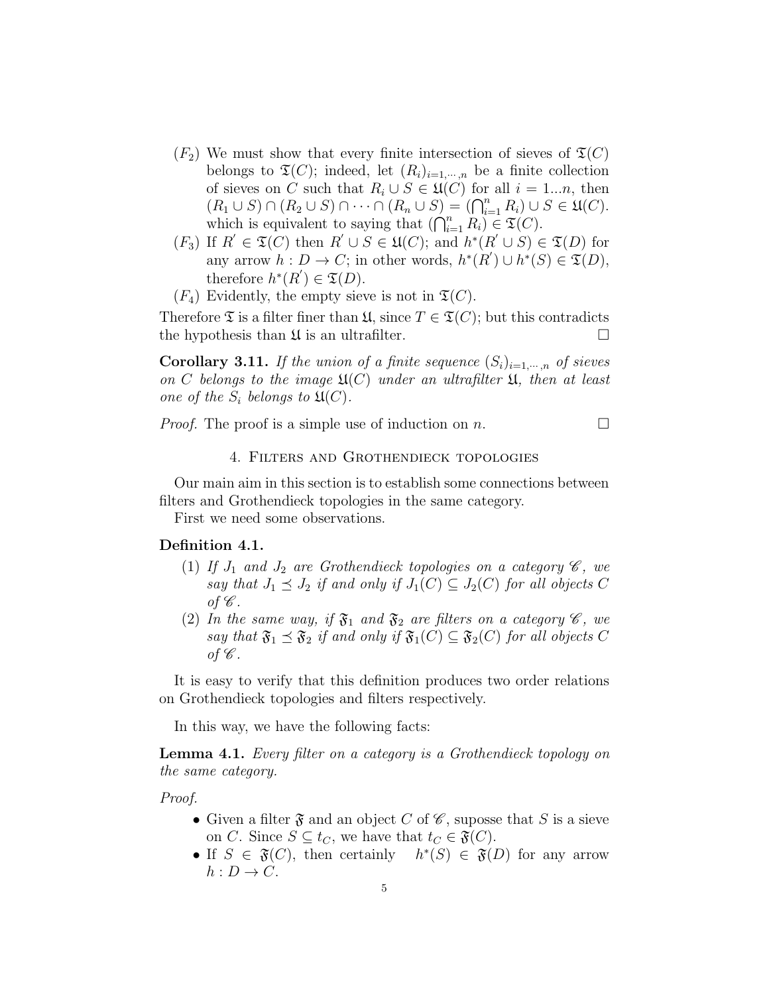- $(F_2)$  We must show that every finite intersection of sieves of  $\mathfrak{T}(C)$ belongs to  $\mathfrak{T}(C)$ ; indeed, let  $(R_i)_{i=1,\dots,n}$  be a finite collection of sieves on C such that  $R_i \cup S \in \mathfrak{U}(C)$  for all  $i = 1...n$ , then  $(R_1 \cup S) \cap (R_2 \cup S) \cap \cdots \cap (R_n \cup S) = (\bigcap_{i=1}^n R_i) \cup S \in \mathfrak{U}(C).$ which is equivalent to saying that  $(\bigcap_{i=1}^n R_i) \in \mathfrak{T}(C)$ .
- $(F_3)$  If  $R' \in \mathfrak{T}(C)$  then  $R' \cup S \in \mathfrak{U}(C)$ ; and  $h^*(R' \cup S) \in \mathfrak{T}(D)$  for any arrow  $h: D \to C$ ; in other words,  $h^*(R') \cup h^*(S) \in \mathfrak{T}(D)$ , therefore  $h^*(R') \in \mathfrak{T}(D)$ .
- $(F_4)$  Evidently, the empty sieve is not in  $\mathfrak{T}(C)$ .

Therefore  $\mathfrak T$  is a filter finer than  $\mathfrak U$ , since  $T \in \mathfrak T(C)$ ; but this contradicts the hypothesis than  $\mathfrak U$  is an ultrafilter.

**Corollary 3.11.** If the union of a finite sequence  $(S_i)_{i=1,\cdots,n}$  of sieves on C belongs to the image  $\mathfrak{U}(C)$  under an ultrafilter  $\mathfrak{U}$ , then at least one of the  $S_i$  belongs to  $\mathfrak{U}(C)$ .

*Proof.* The proof is a simple use of induction on n.

# 4. Filters and Grothendieck topologies

Our main aim in this section is to establish some connections between filters and Grothendieck topologies in the same category.

First we need some observations.

# Definition 4.1.

- (1) If  $J_1$  and  $J_2$  are Grothendieck topologies on a category  $\mathscr{C}$ , we say that  $J_1 \preceq J_2$  if and only if  $J_1(C) \subseteq J_2(C)$  for all objects C of  $\mathscr{C}.$
- (2) In the same way, if  $\mathfrak{F}_1$  and  $\mathfrak{F}_2$  are filters on a category  $\mathscr{C}$ , we say that  $\mathfrak{F}_1 \preceq \mathfrak{F}_2$  if and only if  $\mathfrak{F}_1(C) \subseteq \mathfrak{F}_2(C)$  for all objects C of  $\mathscr{C}.$

It is easy to verify that this definition produces two order relations on Grothendieck topologies and filters respectively.

In this way, we have the following facts:

Lemma 4.1. Every filter on a category is a Grothendieck topology on the same category.

Proof.

- Given a filter  $\mathfrak F$  and an object C of  $\mathscr C$ , suposse that S is a sieve on C. Since  $S \subseteq t_C$ , we have that  $t_C \in \mathfrak{F}(C)$ .
- If  $S \in \mathfrak{F}(C)$ , then certainly  $h^*(S) \in \mathfrak{F}(D)$  for any arrow  $h: D \to C$ .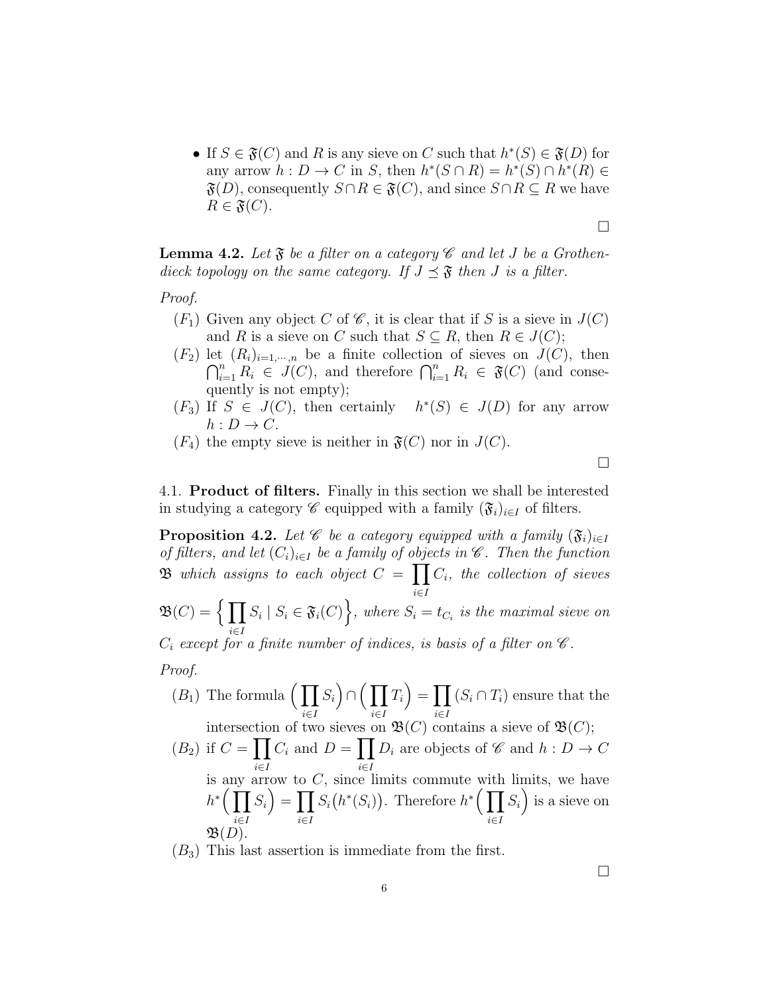• If  $S \in \mathfrak{F}(C)$  and R is any sieve on C such that  $h^*(S) \in \mathfrak{F}(D)$  for any arrow  $h: D \to C$  in S, then  $h^*(S \cap R) = h^*(S) \cap h^*(R) \in$  $\mathfrak{F}(D)$ , consequently  $S \cap R \in \mathfrak{F}(C)$ , and since  $S \cap R \subseteq R$  we have  $R \in \mathfrak{F}(C)$ .

 $\Box$ 

**Lemma 4.2.** Let  $\mathfrak{F}$  be a filter on a category  $\mathscr{C}$  and let J be a Grothendieck topology on the same category. If  $J \preceq \mathfrak{F}$  then J is a filter.

Proof.

- $(F_1)$  Given any object C of  $\mathscr C$ , it is clear that if S is a sieve in  $J(C)$ and R is a sieve on C such that  $S \subseteq R$ , then  $R \in J(C)$ ;
- $(F_2)$  let  $(R_i)_{i=1,\dots,n}$  be a finite collection of sieves on  $J(C)$ , then  $\bigcap_{i=1}^n R_i \in J(C)$ , and therefore  $\bigcap_{i=1}^n R_i \in \mathfrak{F}(C)$  (and consequently is not empty);
- $(F_3)$  If  $S \in J(C)$ , then certainly \* $(S)$  ∈  $J(D)$  for any arrow  $h: D \to C$ .
- $(F_4)$  the empty sieve is neither in  $\mathfrak{F}(C)$  nor in  $J(C)$ .

 $\Box$ 

4.1. Product of filters. Finally in this section we shall be interested in studying a category  $\mathscr C$  equipped with a family  $(\mathfrak{F}_i)_{i\in I}$  of filters.

**Proposition 4.2.** Let  $\mathscr C$  be a category equipped with a family  $(\mathfrak{F}_i)_{i\in I}$ of filters, and let  $(C_i)_{i\in I}$  be a family of objects in  $\mathscr C$ . Then the function  $\mathfrak B$  which assigns to each object  $C = \prod$ i∈I  $C_i$ , the collection of sieves

$$
\mathfrak{B}(C) = \Big\{ \prod_{i \in I} S_i \mid S_i \in \mathfrak{F}_i(C) \Big\}, \text{ where } S_i = t_{C_i} \text{ is the maximal sieve on } \mathfrak{F}_i
$$

 $C_i$  except for a finite number of indices, is basis of a filter on  $\mathscr C$ .

Proof.

 $\mathfrak{B}(D)$ .

$$
(B_1) \text{ The formula } \Big(\prod_{i \in I} S_i\Big) \cap \Big(\prod_{i \in I} T_i\Big) = \prod_{i \in I} (S_i \cap T_i) \text{ ensure that the intersection of two gives on } \mathfrak{B}(C) \text{ contains a sieve of } \mathfrak{B}(C).
$$

(2) if 
$$
C = \prod_{i \in I} C_i
$$
 and  $D = \prod_{i \in I} D_i$  are objects of *C* and  $h : D \to C$   
is any arrow to *C*, since limits commute with limits, we have  

$$
h^* \Big( \prod_{i \in I} S_i \Big) = \prod_{i \in I} S_i \big( h^*(S_i) \Big).
$$
 Therefore  $h^* \Big( \prod_{i \in I} S_i \Big)$  is a sieve on

 $(B_3)$  This last assertion is immediate from the first.

 $\Box$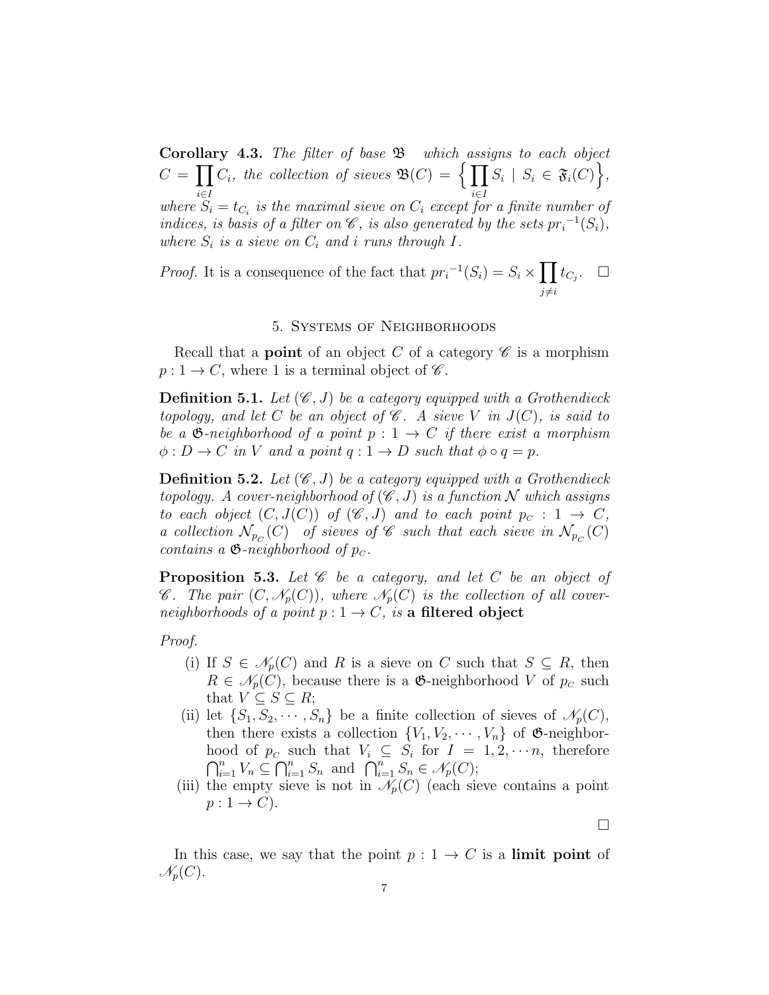**Corollary 4.3.** The filter of base  $\mathfrak{B}$  which assigns to each object  $C = \prod C_i$ , the collection of sieves  $\mathfrak{B}(C) = \Big\{\prod S_i \mid S_i \in \mathfrak{F}_i(C) \Big\},\$  $i ∈ I$ <br>where  $S_i = t_{C_i}$  is the maximal sieve on  $C_i$  except for a finite number of indices, is basis of a filter on  $\mathscr{C}$ , is also generated by the sets  $pr_i^{-1}(S_i)$ , where  $S_i$  is a sieve on  $C_i$  and i runs through  $I$ .

*Proof.* It is a consequence of the fact that  $pr_i^{-1}(S_i) = S_i \times \prod$  $j\neq i$  $t_{C_j}$ .  $\Box$ 

# 5. Systems of Neighborhoods

Recall that a **point** of an object C of a category  $\mathscr{C}$  is a morphism  $p: 1 \to C$ , where 1 is a terminal object of  $\mathscr{C}$ .

**Definition 5.1.** Let  $(\mathscr{C}, J)$  be a category equipped with a Grothendieck topology, and let C be an object of  $\mathscr C$ . A sieve V in  $J(C)$ , is said to be a  $\mathfrak{G}\text{-neighborhood of a point }p: 1 \to C$  if there exist a morphism  $\phi: D \to C$  in V and a point  $q: 1 \to D$  such that  $\phi \circ q = p$ .

**Definition 5.2.** Let  $(\mathscr{C}, J)$  be a category equipped with a Grothendieck topology. A cover-neighborhood of  $(\mathscr{C}, J)$  is a function N which assigns to each object  $(C, J(C))$  of  $(\mathscr{C}, J)$  and to each point  $p_c : 1 \to C$ , a collection  $\mathcal{N}_{p_C}(C)$  of sieves of  $\mathscr C$  such that each sieve in  $\mathcal{N}_{p_C}(C)$ contains a  $\mathfrak{G}\text{-neighborhood of }p_{\mathcal{C}}$ .

**Proposition 5.3.** Let  $\mathscr C$  be a category, and let  $C$  be an object of  $\mathscr{C}.$  The pair  $(C, \mathscr{N}_p(C))$ , where  $\mathscr{N}_p(C)$  is the collection of all coverneighborhoods of a point  $p: 1 \rightarrow C$ , is a filtered object

Proof.

- (i) If  $S \in \mathcal{N}_p(C)$  and R is a sieve on C such that  $S \subseteq R$ , then  $R \in \mathcal{N}_p(C)$ , because there is a **G**-neighborhood V of  $p_c$  such that  $V \subseteq S \subseteq R$ ;
- (ii) let  $\{S_1, S_2, \cdots, S_n\}$  be a finite collection of sieves of  $\mathcal{N}_p(C)$ , then there exists a collection  $\{V_1, V_2, \cdots, V_n\}$  of  $\mathfrak{G}\text{-neighbor-}$ hood of  $p_c$  such that  $V_i \subseteq S_i$  for  $I = 1, 2, \dots, n$ , therefore  $\bigcap_{i=1}^n V_n \subseteq \bigcap_{i=1}^n S_n$  and  $\bigcap_{i=1}^n S_n \in \mathcal{N}_p(C);$
- (iii) the empty sieve is not in  $\mathcal{N}_p(C)$  (each sieve contains a point  $p: 1 \rightarrow C$ ).

 $\Box$ 

In this case, we say that the point  $p: 1 \rightarrow C$  is a limit point of  $\mathscr{N}_p(C).$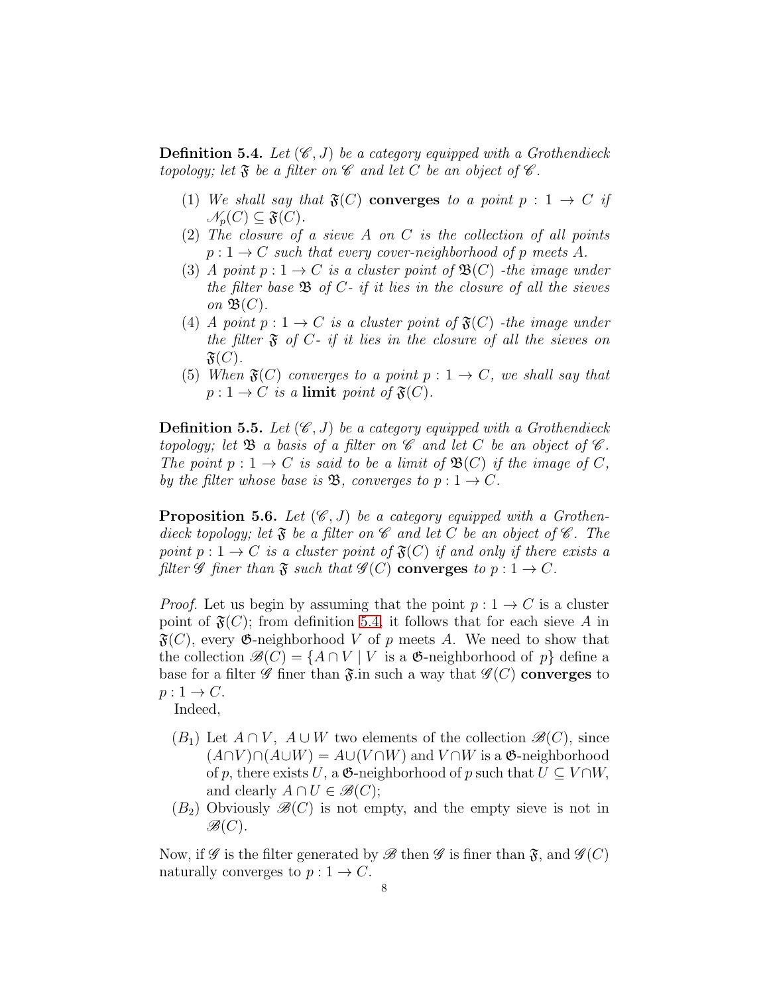<span id="page-7-0"></span>**Definition 5.4.** Let  $(\mathscr{C}, J)$  be a category equipped with a Grothendieck topology; let  $\mathfrak F$  be a filter on  $\mathscr C$  and let C be an object of  $\mathscr C$ .

- (1) We shall say that  $\mathfrak{F}(C)$  converges to a point  $p: 1 \rightarrow C$  if  $\mathscr{N}_p(C) \subseteq \mathfrak{F}(C)$ .
- (2) The closure of a sieve A on C is the collection of all points  $p: 1 \rightarrow C$  such that every cover-neighborhood of p meets A.
- (3) A point  $p: 1 \to C$  is a cluster point of  $\mathfrak{B}(C)$  -the image under the filter base  $\mathfrak{B}$  of  $C$ - if it lies in the closure of all the sieves on  $\mathfrak{B}(C)$ .
- (4) A point  $p: 1 \to C$  is a cluster point of  $\mathfrak{F}(C)$  -the image under the filter  $\mathfrak F$  of  $C$ - if it lies in the closure of all the sieves on  $\mathfrak{F}(C)$ .
- (5) When  $\mathfrak{F}(C)$  converges to a point  $p: 1 \rightarrow C$ , we shall say that  $p: 1 \to C$  is a limit point of  $\mathfrak{F}(C)$ .

**Definition 5.5.** Let  $(\mathscr{C}, J)$  be a category equipped with a Grothendieck topology; let  $\mathfrak{B}$  a basis of a filter on  $\mathscr{C}$  and let C be an object of  $\mathscr{C}$ . The point  $p: 1 \to C$  is said to be a limit of  $\mathfrak{B}(C)$  if the image of C, by the filter whose base is **B**, converges to  $p: 1 \rightarrow C$ .

**Proposition 5.6.** Let  $(\mathscr{C}, J)$  be a category equipped with a Grothendieck topology; let  $\mathfrak{F}$  be a filter on  $\mathscr C$  and let C be an object of  $\mathscr C$ . The point  $p: 1 \to C$  is a cluster point of  $\mathfrak{F}(C)$  if and only if there exists a filter  $\mathscr G$  finer than  $\mathfrak F$  such that  $\mathscr G(C)$  converges to  $p: 1 \to C$ .

*Proof.* Let us begin by assuming that the point  $p: 1 \rightarrow C$  is a cluster point of  $\mathfrak{F}(C)$ ; from definition [5.4,](#page-7-0) it follows that for each sieve A in  $\mathfrak{F}(C)$ , every  $\mathfrak{G}\text{-neighborhood }V$  of p meets A. We need to show that the collection  $\mathscr{B}(C) = \{A \cap V \mid V \text{ is a } \mathfrak{G}\text{-neighborhood of } p\}$  define a base for a filter  $\mathscr G$  finer than  $\mathfrak{F}$  in such a way that  $\mathscr G(C)$  converges to  $p: 1 \rightarrow C$ .

Indeed,

- $(B_1)$  Let  $A \cap V$ ,  $A \cup W$  two elements of the collection  $\mathscr{B}(C)$ , since  $(A \cap V) \cap (A \cup W) = A \cup (V \cap W)$  and  $V \cap W$  is a  $\mathfrak{G}\text{-neighborhood}$ of p, there exists U, a  $\mathfrak{G}\text{-neighborhood of }p$  such that  $U \subseteq V \cap W$ , and clearly  $A \cap U \in \mathcal{B}(C)$ ;
- $(B_2)$  Obviously  $\mathscr{B}(C)$  is not empty, and the empty sieve is not in  $\mathscr{B}(C)$ .

Now, if  $\mathscr G$  is the filter generated by  $\mathscr B$  then  $\mathscr G$  is finer than  $\mathfrak F$ , and  $\mathscr G(C)$ naturally converges to  $p: 1 \rightarrow C$ .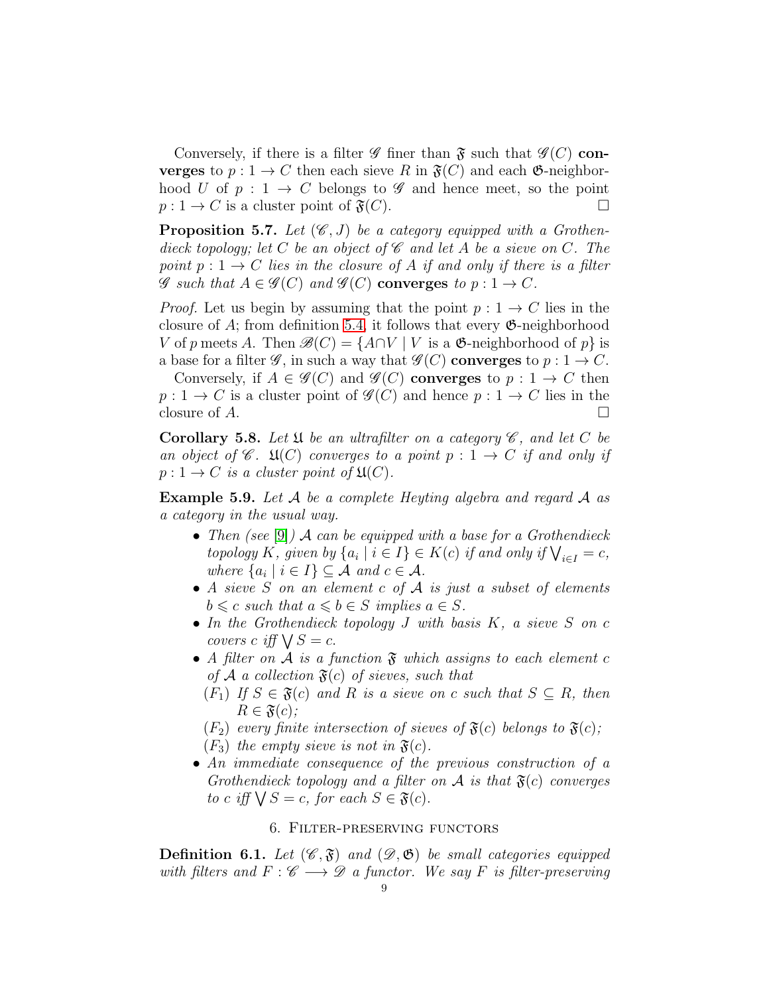Conversely, if there is a filter  $\mathscr G$  finer than  $\mathfrak F$  such that  $\mathscr G(C)$  converges to  $p: 1 \to C$  then each sieve R in  $\mathfrak{F}(C)$  and each  $\mathfrak{G}-$ neighborhood U of  $p: 1 \to C$  belongs to  $\mathscr G$  and hence meet, so the point  $p: 1 \to C$  is a cluster point of  $\mathfrak{F}(C)$ .

**Proposition 5.7.** Let  $(\mathscr{C}, J)$  be a category equipped with a Grothendieck topology; let C be an object of  $\mathscr C$  and let A be a sieve on C. The point  $p: 1 \to C$  lies in the closure of A if and only if there is a filter  $\mathscr G$  such that  $A \in \mathscr G(C)$  and  $\mathscr G(C)$  converges to  $p: 1 \to C$ .

*Proof.* Let us begin by assuming that the point  $p: 1 \rightarrow C$  lies in the closure of A; from definition [5.4,](#page-7-0) it follows that every  $\mathfrak{G}\text{-neighborhood}$ V of p meets A. Then  $\mathscr{B}(C) = \{A \cap V \mid V$  is a  $\mathfrak{G}\text{-neighborhood of } p\}$  is a base for a filter  $\mathscr{G}$ , in such a way that  $\mathscr{G}(C)$  converges to  $p: 1 \to C$ .

Conversely, if  $A \in \mathcal{G}(C)$  and  $\mathcal{G}(C)$  converges to  $p: 1 \to C$  then  $p: 1 \to C$  is a cluster point of  $\mathscr{G}(C)$  and hence  $p: 1 \to C$  lies in the closure of  $A$ .

**Corollary 5.8.** Let  $\mathfrak U$  be an ultrafilter on a category  $\mathscr C$ , and let C be an object of  $\mathscr{C}$ .  $\mathfrak{U}(C)$  converges to a point  $p: 1 \rightarrow C$  if and only if  $p: 1 \to C$  is a cluster point of  $\mathfrak{U}(C)$ .

Example 5.9. Let A be a complete Heyting algebra and regard A as a category in the usual way.

- Then (see [\[9\]](#page-19-3)) A can be equipped with a base for a Grothendieck topology K, given by  $\{a_i \mid i \in I\} \in K(c)$  if and only if  $\bigvee_{i \in I} = c$ , where  $\{a_i \mid i \in I\} \subseteq \mathcal{A}$  and  $c \in \mathcal{A}$ .
- A sieve S on an element c of  $A$  is just a subset of elements  $b \leq c$  such that  $a \leq b \in S$  implies  $a \in S$ .
- In the Grothendieck topology  $J$  with basis  $K$ , a sieve  $S$  on  $c$ covers c iff  $\bigvee S = c$ .
- A filter on A is a function  $\mathfrak F$  which assigns to each element c of A a collection  $\mathfrak{F}(c)$  of sieves, such that
	- $(F_1)$  If  $S \in \mathfrak{F}(c)$  and R is a sieve on c such that  $S \subseteq R$ , then  $R \in \mathfrak{F}(c)$ ;

 $(F_2)$  every finite intersection of sieves of  $\mathfrak{F}(c)$  belongs to  $\mathfrak{F}(c)$ ;

- $(F_3)$  the empty sieve is not in  $\mathfrak{F}(c)$ .
- An immediate consequence of the previous construction of a Grothendieck topology and a filter on  $A$  is that  $\mathfrak{F}(c)$  converges to c iff  $\bigvee S = c$ , for each  $S \in \mathfrak{F}(c)$ .

### 6. Filter-preserving functors

**Definition 6.1.** Let  $(\mathscr{C}, \mathfrak{F})$  and  $(\mathscr{D}, \mathfrak{G})$  be small categories equipped with filters and  $F : \mathscr{C} \longrightarrow \mathscr{D}$  a functor. We say F is filter-preserving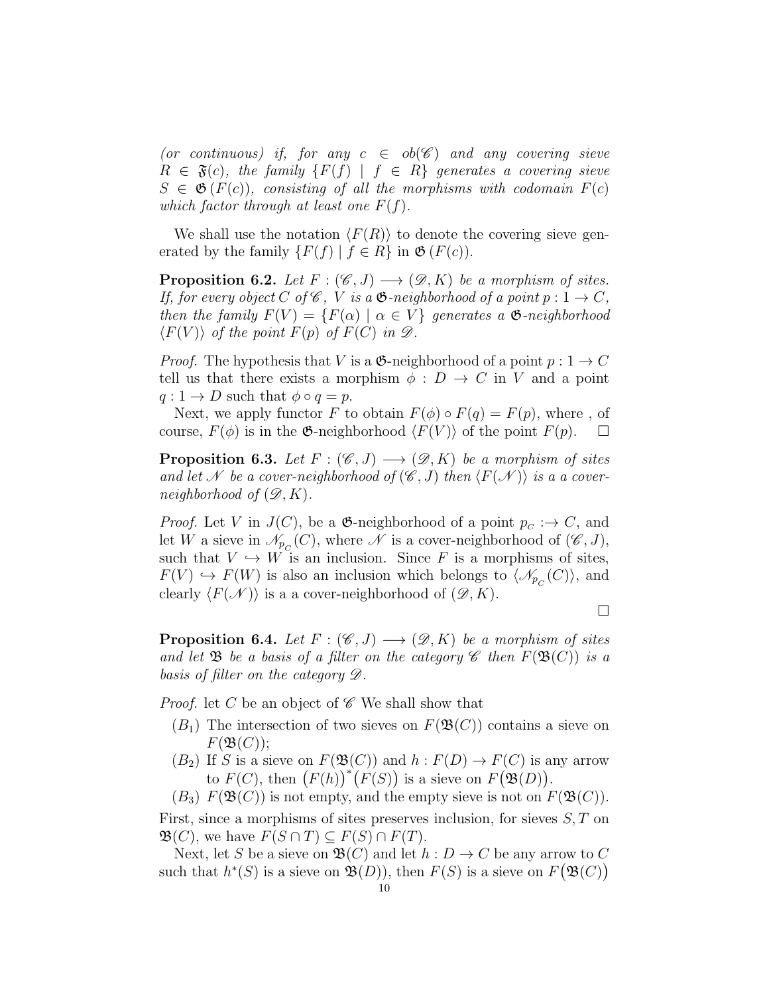(or continuous) if, for any  $c \in ob(\mathscr{C})$  and any covering sieve  $R \in \mathfrak{F}(c)$ , the family  $\{F(f) \mid f \in R\}$  generates a covering sieve  $S \in \mathfrak{G}(F(c))$ , consisting of all the morphisms with codomain  $F(c)$ which factor through at least one  $F(f)$ .

We shall use the notation  $\langle F(R) \rangle$  to denote the covering sieve generated by the family  $\{F(f) | f \in R\}$  in  $\mathfrak{G}(F(c))$ .

<span id="page-9-0"></span>**Proposition 6.2.** Let  $F : (\mathscr{C}, J) \longrightarrow (\mathscr{D}, K)$  be a morphism of sites. If, for every object C of  $\mathscr C$ , V is a  $\mathfrak{G}\text{-neighborhood of a point }p: 1 \to C$ , then the family  $F(V) = \{F(\alpha) \mid \alpha \in V\}$  generates a  $\mathfrak{G}\text{-neighborhood}$  $\langle F(V) \rangle$  of the point  $F(p)$  of  $F(C)$  in  $\mathscr{D}$ .

*Proof.* The hypothesis that V is a  $\mathfrak{G}$ -neighborhood of a point  $p: 1 \rightarrow C$ tell us that there exists a morphism  $\phi : D \to C$  in V and a point  $q: 1 \to D$  such that  $\phi \circ q = p$ .

Next, we apply functor F to obtain  $F(\phi) \circ F(q) = F(p)$ , where, of course,  $F(\phi)$  is in the  $\mathfrak{G}\text{-neighborhood }\langle F(V) \rangle$  of the point  $F(p).$   $\Box$ 

<span id="page-9-1"></span>**Proposition 6.3.** Let  $F : (\mathscr{C}, J) \longrightarrow (\mathscr{D}, K)$  be a morphism of sites and let N be a cover-neighborhood of  $(\mathscr{C},J)$  then  $\langle F(\mathscr{N})\rangle$  is a a coverneighborhood of  $(\mathscr{D}, K)$ .

*Proof.* Let V in  $J(C)$ , be a  $\mathfrak{G}\text{-neighborhood of a point }p_C : \rightarrow C$ , and let W a sieve in  $\mathscr{N}_{p_C}(C)$ , where  $\mathscr N$  is a cover-neighborhood of  $(\mathscr C, J)$ , such that  $V \hookrightarrow W$  is an inclusion. Since F is a morphisms of sites,  $F(V) \hookrightarrow F(W)$  is also an inclusion which belongs to  $\langle \mathcal{N}_{p_C}(C) \rangle$ , and clearly  $\langle F(\mathcal{N}) \rangle$  is a a cover-neighborhood of  $(\mathcal{D}, K)$ .

 $\Box$ 

<span id="page-9-2"></span>**Proposition 6.4.** Let  $F : (\mathscr{C}, J) \longrightarrow (\mathscr{D}, K)$  be a morphism of sites and let  $\mathfrak B$  be a basis of a filter on the category  $\mathscr C$  then  $F(\mathfrak B(C))$  is a basis of filter on the category D.

*Proof.* let C be an object of  $\mathscr C$  We shall show that

- $(B_1)$  The intersection of two sieves on  $F(\mathfrak{B}(C))$  contains a sieve on  $F(\mathfrak{B}(C));$
- $(B_2)$  If S is a sieve on  $F(\mathfrak{B}(C))$  and  $h : F(D) \to F(C)$  is any arrow to  $F(C)$ , then  $(F(h))^{*}(F(S))$  is a sieve on  $F(\mathfrak{B}(D))$ .
- $(B_3)$   $F(\mathfrak{B}(C))$  is not empty, and the empty sieve is not on  $F(\mathfrak{B}(C))$ .

First, since a morphisms of sites preserves inclusion, for sieves  $S, T$  on  $\mathfrak{B}(C)$ , we have  $F(S \cap T) \subseteq F(S) \cap F(T)$ .

Next, let S be a sieve on  $\mathfrak{B}(C)$  and let  $h: D \to C$  be any arrow to C such that  $h^*(S)$  is a sieve on  $\mathfrak{B}(D)$ , then  $F(S)$  is a sieve on  $F(\mathfrak{B}(C))$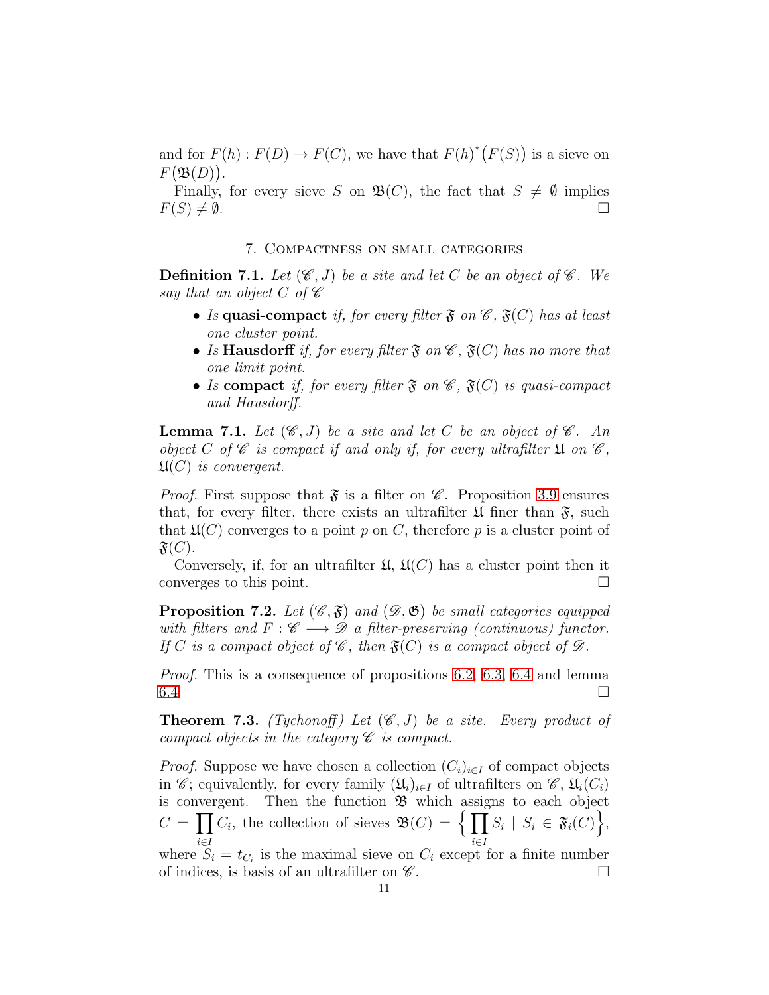and for  $F(h): F(D) \to F(C)$ , we have that  $F(h)^*(F(S))$  is a sieve on  $F(\mathfrak{B}(D)).$ 

Finally, for every sieve S on  $\mathfrak{B}(C)$ , the fact that  $S \neq \emptyset$  implies  $F(S) \neq \emptyset$ .

### 7. Compactness on small categories

**Definition 7.1.** Let  $(\mathscr{C}, J)$  be a site and let C be an object of  $\mathscr{C}$ . We say that an object C of  $\mathscr C$ 

- Is quasi-compact if, for every filter  $\mathfrak{F}$  on  $\mathscr{C}$ ,  $\mathfrak{F}(C)$  has at least one cluster point.
- Is Hausdorff if, for every filter  $\mathfrak{F}$  on  $\mathscr{C}$ ,  $\mathfrak{F}(C)$  has no more that one limit point.
- Is compact if, for every filter  $\mathfrak{F}$  on  $\mathscr{C}$ ,  $\mathfrak{F}(C)$  is quasi-compact and Hausdorff.

**Lemma 7.1.** Let  $(\mathscr{C},J)$  be a site and let C be an object of  $\mathscr{C}$ . An object C of C is compact if and only if, for every ultrafilter  $\mathfrak{U}$  on  $\mathscr{C}$ ,  $\mathfrak{U}(C)$  is convergent.

*Proof.* First suppose that  $\mathfrak{F}$  is a filter on  $\mathscr{C}$ . Proposition [3.9](#page-3-0) ensures that, for every filter, there exists an ultrafilter  $\mathfrak U$  finer than  $\mathfrak F$ , such that  $\mathfrak{U}(C)$  converges to a point p on C, therefore p is a cluster point of  $\mathfrak{F}(C)$ .

Conversely, if, for an ultrafilter  $\mathfrak{U}, \mathfrak{U}(C)$  has a cluster point then it converges to this point.

**Proposition 7.2.** Let  $(\mathscr{C}, \mathfrak{F})$  and  $(\mathscr{D}, \mathfrak{G})$  be small categories equipped with filters and  $F : \mathscr{C} \longrightarrow \mathscr{D}$  a filter-preserving (continuous) functor. If C is a compact object of  $\mathscr{C}$ , then  $\mathfrak{F}(C)$  is a compact object of  $\mathscr{D}$ .

Proof. This is a consequence of propositions [6.2,](#page-9-0) [6.3,](#page-9-1) [6.4](#page-9-2) and lemma  $6.4.$ 

**Theorem 7.3.** (Tychonoff) Let  $(\mathscr{C}, J)$  be a site. Every product of compact objects in the category  $\mathscr C$  is compact.

*Proof.* Suppose we have chosen a collection  $(C_i)_{i \in I}$  of compact objects in *C*; equivalently, for every family  $(\mathfrak{U}_i)_{i\in I}$  of ultrafilters on  $\mathscr{C}, \mathfrak{U}_i(C_i)$ is convergent. Then the function  $\mathfrak{B}$  which assigns to each object  $C=\prod$ i∈I  $C_i$ , the collection of sieves  $\mathfrak{B}(C) = \{ \prod \}$ i∈I  $S_i \mid S_i \in \mathfrak{F}_i(C)$ , where  $S_i = t_{C_i}$  is the maximal sieve on  $C_i$  except for a finite number of indices, is basis of an ultrafilter on  $\mathscr C$ .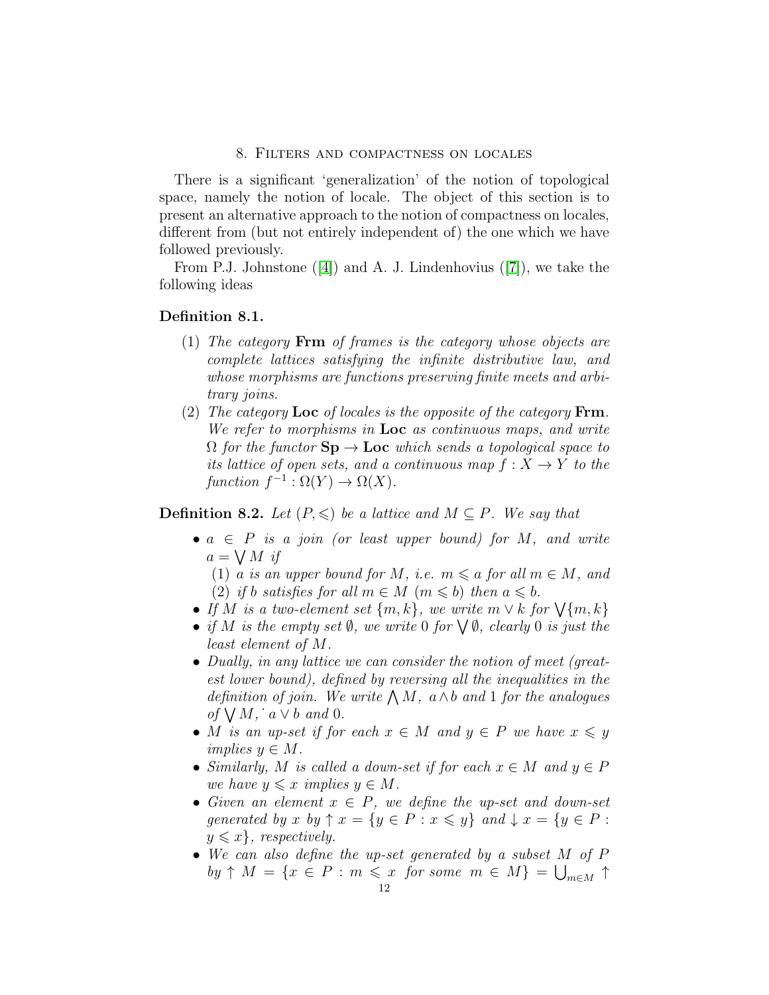### 8. Filters and compactness on locales

There is a significant 'generalization' of the notion of topological space, namely the notion of locale. The object of this section is to present an alternative approach to the notion of compactness on locales, different from (but not entirely independent of) the one which we have followed previously.

From P.J. Johnstone ([\[4\]](#page-19-4)) and A. J. Lindenhovius ([\[7\]](#page-19-5)), we take the following ideas

#### Definition 8.1.

- (1) The category Frm of frames is the category whose objects are complete lattices satisfying the infinite distributive law, and whose morphisms are functions preserving finite meets and arbitrary joins.
- (2) The category Loc of locales is the opposite of the category  $\text{Frm}.$ We refer to morphisms in **Loc** as continuous maps, and write  $\Omega$  for the functor  $\text{Sp} \to \text{Loc}$  which sends a topological space to its lattice of open sets, and a continuous map  $f: X \to Y$  to the function  $f^{-1} : \Omega(Y) \to \Omega(X)$ .

**Definition 8.2.** Let  $(P, \leqslant)$  be a lattice and  $M \subseteq P$ . We say that

•  $a \in P$  is a join (or least upper bound) for M, and write  $a = \bigvee M$  if

(1) a is an upper bound for M, i.e.  $m \le a$  for all  $m \in M$ , and (2) if b satisfies for all  $m \in M$   $(m \leq b)$  then  $a \leq b$ .

- If M is a two-element set  $\{m, k\}$ , we write  $m \vee k$  for  $\bigvee \{m, k\}$
- if M is the empty set  $\emptyset$ , we write 0 for  $\bigvee \emptyset$ , clearly 0 is just the least element of M.
- Dually, in any lattice we can consider the notion of meet (greatest lower bound), defined by reversing all the inequalities in the definition of join. We write  $\bigwedge M$ ,  $a \wedge b$  and 1 for the analogues of  $\bigvee M$ ,  $a \vee b$  and 0.
- M is an up-set if for each  $x \in M$  and  $y \in P$  we have  $x \leq y$ implies  $y \in M$ .
- Similarly, M is called a down-set if for each  $x \in M$  and  $y \in P$ we have  $y \leq x$  implies  $y \in M$ .
- Given an element  $x \in P$ , we define the up-set and down-set generated by x by  $\uparrow x = \{y \in P : x \leqslant y\}$  and  $\downarrow x = \{y \in P : x \leqslant y\}$  $y \leqslant x$ , respectively.
- We can also define the up-set generated by a subset M of P  $by \uparrow M = \{x \in P : m \leq x \text{ for some } m \in M\} = \bigcup_{m \in M} \uparrow$ 12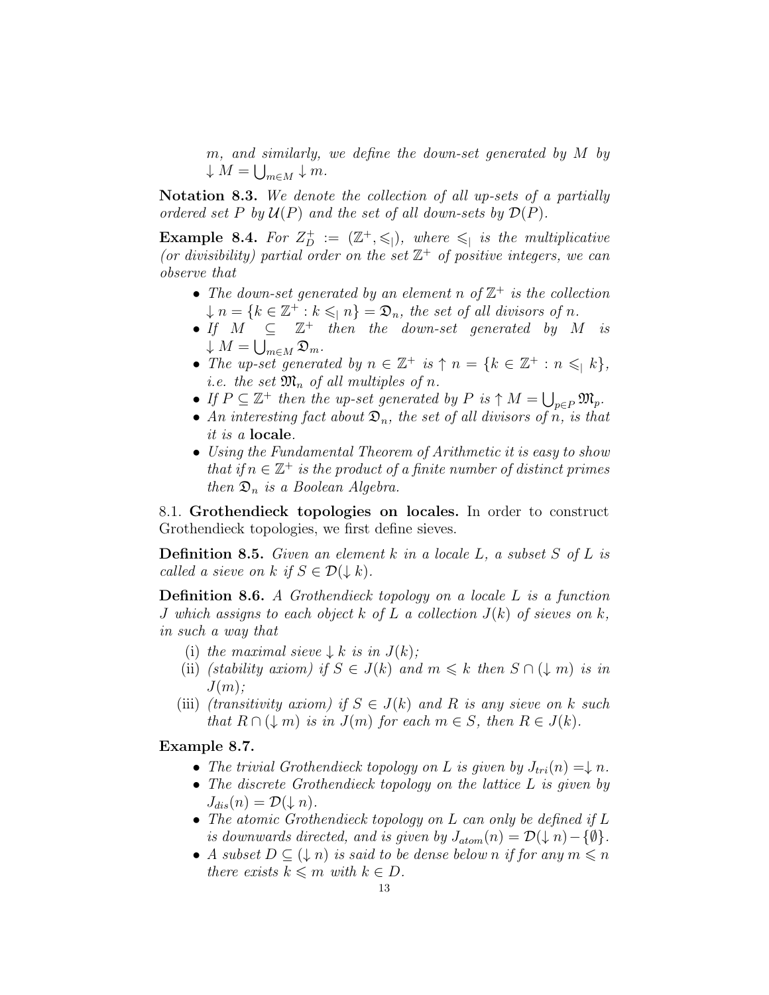m, and similarly, we define the down-set generated by M by  $\downarrow$   $M = \bigcup_{m \in M} \downarrow m$ .

Notation 8.3. We denote the collection of all up-sets of a partially ordered set P by  $\mathcal{U}(P)$  and the set of all down-sets by  $\mathcal{D}(P)$ .

**Example 8.4.** For  $Z_D^+ := (\mathbb{Z}^+, \leqslant)$ , where  $\leqslant \, |$  is the multiplicative (or divisibility) partial order on the set  $\mathbb{Z}^+$  of positive integers, we can observe that

- The down-set generated by an element n of  $\mathbb{Z}^+$  is the collection  $\downarrow$   $n = \{k \in \mathbb{Z}^+ : k \leqslant n\} = \mathfrak{D}_n$ , the set of all divisors of n.
- If  $M \subseteq \mathbb{Z}^+$  then the down-set generated by M is  $\downarrow$   $M = \bigcup_{m \in M} \mathfrak{D}_m$ .
- The up-set generated by  $n \in \mathbb{Z}^+$  is  $\uparrow n = \{k \in \mathbb{Z}^+ : n \leqslant |k\},\$ *i.e.* the set  $\mathfrak{M}_n$  of all multiples of n.
- If  $P \subseteq \mathbb{Z}^+$  then the up-set generated by  $P$  is  $\uparrow M = \bigcup_{p \in P} \mathfrak{M}_p$ .
- An interesting fact about  $\mathfrak{D}_n$ , the set of all divisors of n, is that it is a locale.
- Using the Fundamental Theorem of Arithmetic it is easy to show that if  $n \in \mathbb{Z}^+$  is the product of a finite number of distinct primes then  $\mathfrak{D}_n$  is a Boolean Algebra.

8.1. Grothendieck topologies on locales. In order to construct Grothendieck topologies, we first define sieves.

**Definition 8.5.** Given an element k in a locale L, a subset S of L is called a sieve on k if  $S \in \mathcal{D}(\downarrow k)$ .

Definition 8.6. A Grothendieck topology on a locale L is a function J which assigns to each object k of L a collection  $J(k)$  of sieves on k, in such a way that

- (i) the maximal sieve  $\downarrow k$  is in  $J(k)$ ;
- (ii) (stability axiom) if  $S \in J(k)$  and  $m \leq k$  then  $S \cap (\downarrow m)$  is in  $J(m)$ ;
- (iii) (transitivity axiom) if  $S \in J(k)$  and R is any sieve on k such that  $R \cap (\downarrow m)$  is in  $J(m)$  for each  $m \in S$ , then  $R \in J(k)$ .

# Example 8.7.

- The trivial Grothendieck topology on L is given by  $J_{tri}(n) = \downarrow n$ .
- The discrete Grothendieck topology on the lattice L is given by  $J_{dis}(n) = \mathcal{D}(\downarrow n).$
- The atomic Grothendieck topology on L can only be defined if L is downwards directed, and is given by  $J_{atom}(n) = \mathcal{D}(\downarrow n) - \{\emptyset\}.$
- A subset  $D \subseteq (\downarrow n)$  is said to be dense below n if for any  $m \leq n$ there exists  $k \leq m$  with  $k \in D$ .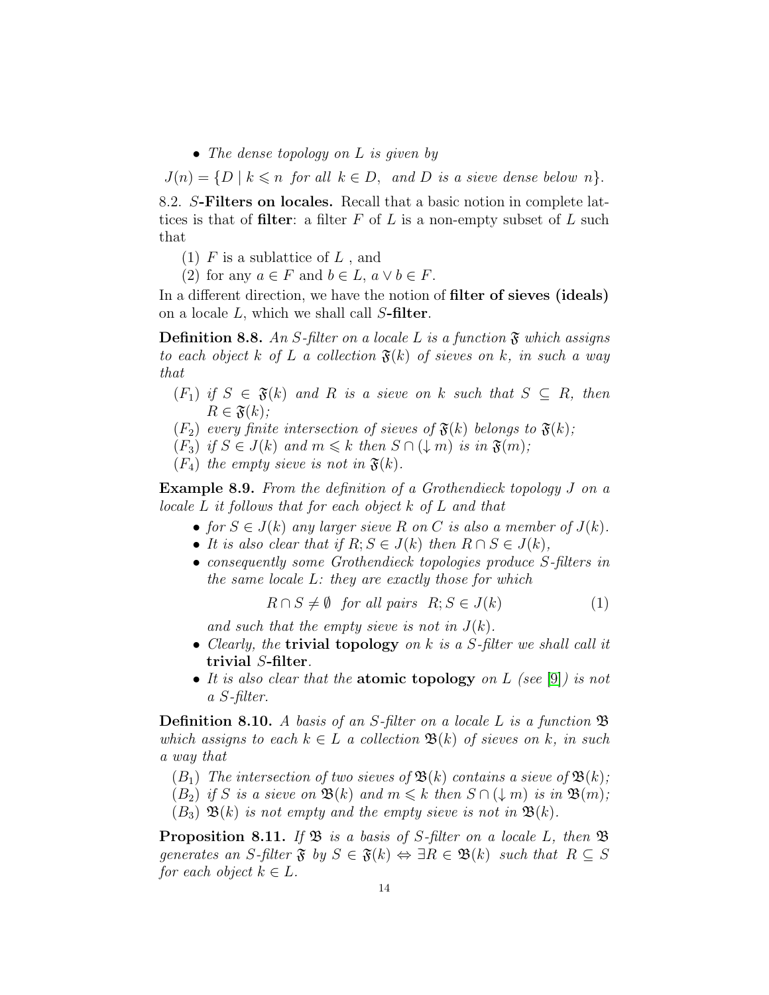• The dense topology on L is given by

 $J(n) = \{D \mid k \leq n \text{ for all } k \in D, \text{ and } D \text{ is a sieve dense below } n\}.$ 

8.2. S-Filters on locales. Recall that a basic notion in complete lattices is that of filter: a filter  $F$  of  $L$  is a non-empty subset of  $L$  such that

(1)  $F$  is a sublattice of  $L$ , and

(2) for any  $a \in F$  and  $b \in L$ ,  $a \vee b \in F$ .

In a different direction, we have the notion of **filter of sieves** (ideals) on a locale  $L$ , which we shall call  $S$ -filter.

**Definition 8.8.** An S-filter on a locale L is a function  $\mathfrak{F}$  which assigns to each object k of L a collection  $\mathfrak{F}(k)$  of sieves on k, in such a way that

- $(F_1)$  if  $S \in \mathfrak{F}(k)$  and R is a sieve on k such that  $S \subseteq R$ , then  $R \in \mathfrak{F}(k);$
- $(F_2)$  every finite intersection of sieves of  $\mathfrak{F}(k)$  belongs to  $\mathfrak{F}(k)$ ;
- $(F_3)$  if  $S \in J(k)$  and  $m \leq k$  then  $S \cap (\downarrow m)$  is in  $\mathfrak{F}(m)$ ;
- $(F_4)$  the empty sieve is not in  $\mathfrak{F}(k)$ .

Example 8.9. From the definition of a Grothendieck topology J on a locale L it follows that for each object k of L and that

- for  $S \in J(k)$  any larger sieve R on C is also a member of  $J(k)$ .
- It is also clear that if  $R; S \in J(k)$  then  $R \cap S \in J(k)$ ,
- consequently some Grothendieck topologies produce S-filters in the same locale L: they are exactly those for which

$$
R \cap S \neq \emptyset \quad \text{for all pairs} \quad R; S \in J(k) \tag{1}
$$

and such that the empty sieve is not in  $J(k)$ .

- Clearly, the **trivial topology** on  $k$  is a S-filter we shall call it trivial S-filter.
- It is also clear that the **atomic topology** on  $L$  (see [\[9\]](#page-19-3)) is not a S-filter.

**Definition 8.10.** A basis of an S-filter on a locale L is a function  $\mathfrak{B}$ which assigns to each  $k \in L$  a collection  $\mathfrak{B}(k)$  of sieves on k, in such a way that

- $(B_1)$  The intersection of two sieves of  $\mathfrak{B}(k)$  contains a sieve of  $\mathfrak{B}(k)$ ;
- $(B_2)$  if S is a sieve on  $\mathfrak{B}(k)$  and  $m \leq k$  then  $S \cap (\downarrow m)$  is in  $\mathfrak{B}(m)$ ;
- $(B_3)$   $\mathfrak{B}(k)$  is not empty and the empty sieve is not in  $\mathfrak{B}(k)$ .

**Proposition 8.11.** If  $\mathfrak{B}$  is a basis of S-filter on a locale L, then  $\mathfrak{B}$ generates an S-filter  $\mathfrak{F}$  by  $S \in \mathfrak{F}(k) \Leftrightarrow \exists R \in \mathfrak{B}(k)$  such that  $R \subseteq S$ for each object  $k \in L$ .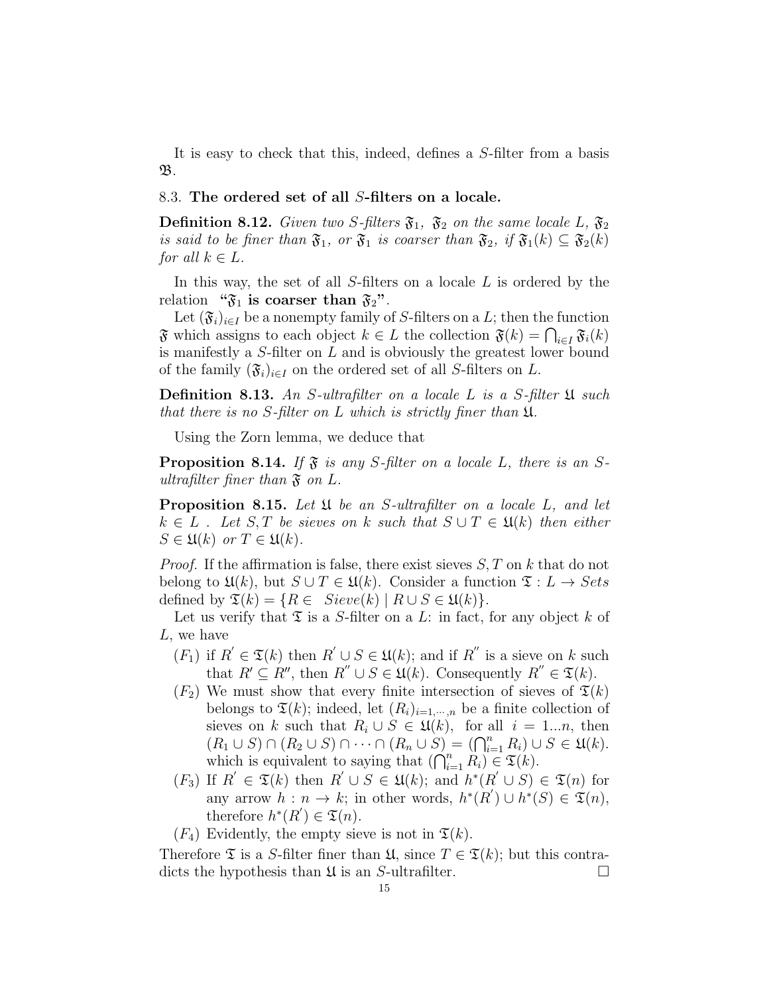It is easy to check that this, indeed, defines a S-filter from a basis  $\mathfrak{B}.$ 

### 8.3. The ordered set of all S-filters on a locale.

**Definition 8.12.** Given two S-filters  $\mathfrak{F}_1$ ,  $\mathfrak{F}_2$  on the same locale L,  $\mathfrak{F}_2$ is said to be finer than  $\mathfrak{F}_1$ , or  $\mathfrak{F}_1$  is coarser than  $\mathfrak{F}_2$ , if  $\mathfrak{F}_1(k) \subseteq \mathfrak{F}_2(k)$ for all  $k \in L$ .

In this way, the set of all  $S$ -filters on a locale  $L$  is ordered by the relation " $\mathfrak{F}_1$  is coarser than  $\mathfrak{F}_2$ ".

Let  $(\mathfrak{F}_i)_{i\in I}$  be a nonempty family of S-filters on a L; then the function  $\mathfrak{F}$  which assigns to each object  $k \in L$  the collection  $\mathfrak{F}(k) = \bigcap_{i \in I} \mathfrak{F}_i(k)$ is manifestly a S-filter on L and is obviously the greatest lower bound of the family  $(\mathfrak{F}_i)_{i\in I}$  on the ordered set of all S-filters on L.

**Definition 8.13.** An S-ultrafilter on a locale L is a S-filter  $\mathfrak{U}$  such that there is no S-filter on L which is strictly finer than U.

Using the Zorn lemma, we deduce that

<span id="page-14-0"></span>**Proposition 8.14.** If  $\mathfrak{F}$  is any S-filter on a locale L, there is an Sultrafilter finer than  $\mathfrak{F}$  on L.

**Proposition 8.15.** Let  $\mathfrak U$  be an S-ultrafilter on a locale L, and let  $k \in L$ . Let S, T be sieves on k such that  $S \cup T \in \mathfrak{U}(k)$  then either  $S \in \mathfrak{U}(k)$  or  $T \in \mathfrak{U}(k)$ .

*Proof.* If the affirmation is false, there exist sieves  $S, T$  on k that do not belong to  $\mathfrak{U}(k)$ , but  $S \cup T \in \mathfrak{U}(k)$ . Consider a function  $\mathfrak{T}: L \to Sets$ defined by  $\mathfrak{T}(k) = \{ R \in \text{Sieve}(k) \mid R \cup S \in \mathfrak{U}(k) \}.$ 

Let us verify that  $\mathfrak T$  is a S-filter on a L: in fact, for any object k of L, we have

- $(F_1)$  if  $R' \in \mathfrak{T}(k)$  then  $R' \cup S \in \mathfrak{U}(k)$ ; and if  $R''$  is a sieve on k such that  $R' \subseteq R''$ , then  $R'' \cup S \in \mathfrak{U}(k)$ . Consequently  $R'' \in \mathfrak{T}(k)$ .
- $(F_2)$  We must show that every finite intersection of sieves of  $\mathfrak{T}(k)$ belongs to  $\mathfrak{T}(k)$ ; indeed, let  $(R_i)_{i=1,\dots,n}$  be a finite collection of sieves on k such that  $R_i \cup S \in \mathfrak{U}(k)$ , for all  $i = 1...n$ , then  $(R_1 \cup S) \cap (R_2 \cup S) \cap \cdots \cap (R_n \cup S) = (\bigcap_{i=1}^n R_i) \cup S \in \mathfrak{U}(k).$ which is equivalent to saying that  $(\bigcap_{i=1}^n R_i) \in \mathfrak{T}(k)$ .
- $(F_3)$  If  $R' \in \mathfrak{T}(k)$  then  $R' \cup S \in \mathfrak{U}(k)$ ; and  $h^*(R' \cup S) \in \mathfrak{T}(n)$  for any arrow  $h: n \to k$ ; in other words,  $h^*(R') \cup h^*(S) \in \mathfrak{X}(n)$ , therefore  $h^*(R') \in \mathfrak{T}(n)$ .
- $(F_4)$  Evidently, the empty sieve is not in  $\mathfrak{T}(k)$ .

Therefore  $\mathfrak T$  is a S-filter finer than  $\mathfrak U$ , since  $T \in \mathfrak T(k)$ ; but this contradicts the hypothesis than  $\mathfrak U$  is an S-ultrafilter.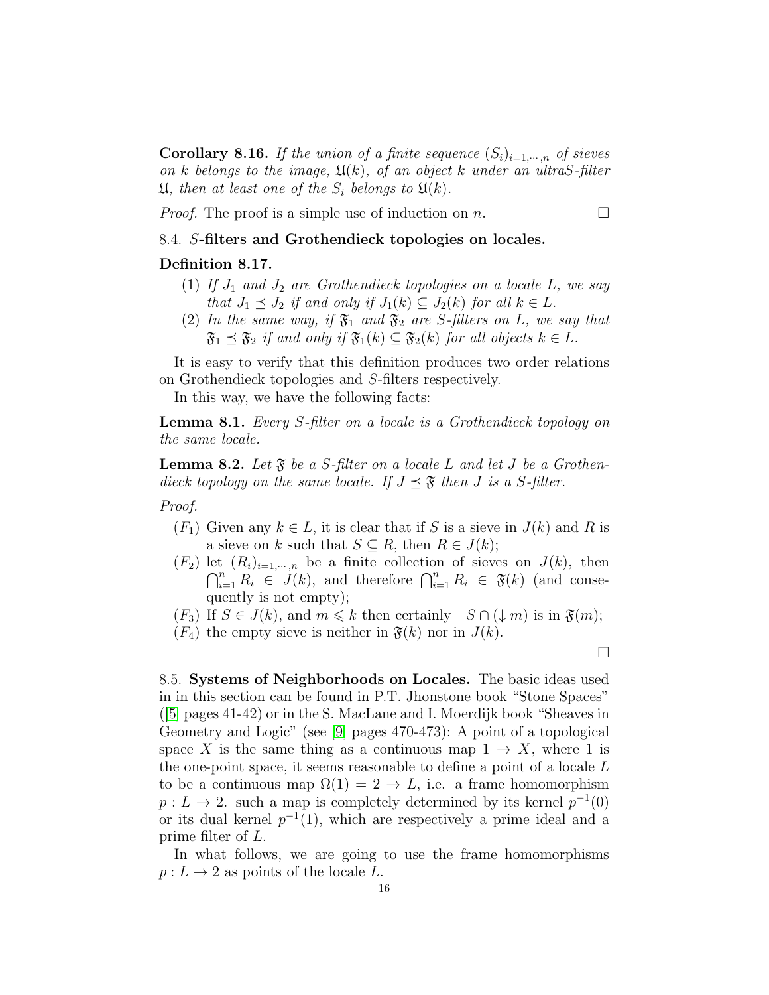**Corollary 8.16.** If the union of a finite sequence  $(S_i)_{i=1,\dots,n}$  of sieves on k belongs to the image,  $\mathfrak{U}(k)$ , of an object k under an ultraS-filter  $\mathfrak{U}$ , then at least one of the  $S_i$  belongs to  $\mathfrak{U}(k)$ .

*Proof.* The proof is a simple use of induction on n.

# 8.4. S-filters and Grothendieck topologies on locales.

# Definition 8.17.

- (1) If  $J_1$  and  $J_2$  are Grothendieck topologies on a locale L, we say that  $J_1 \preceq J_2$  if and only if  $J_1(k) \subseteq J_2(k)$  for all  $k \in L$ .
- (2) In the same way, if  $\mathfrak{F}_1$  and  $\mathfrak{F}_2$  are S-filters on L, we say that  $\mathfrak{F}_1 \preceq \mathfrak{F}_2$  if and only if  $\mathfrak{F}_1(k) \subseteq \mathfrak{F}_2(k)$  for all objects  $k \in L$ .

It is easy to verify that this definition produces two order relations on Grothendieck topologies and S-filters respectively.

In this way, we have the following facts:

Lemma 8.1. Every S-filter on a locale is a Grothendieck topology on the same locale.

**Lemma 8.2.** Let  $\mathfrak{F}$  be a S-filter on a locale L and let J be a Grothendieck topology on the same locale. If  $J \preceq \mathfrak{F}$  then J is a S-filter.

Proof.

- $(F_1)$  Given any  $k \in L$ , it is clear that if S is a sieve in  $J(k)$  and R is a sieve on k such that  $S \subseteq R$ , then  $R \in J(k)$ ;
- $(F_2)$  let  $(R_i)_{i=1,\dots,n}$  be a finite collection of sieves on  $J(k)$ , then  $\bigcap_{i=1}^n R_i \in J(k)$ , and therefore  $\bigcap_{i=1}^n R_i \in \mathfrak{F}(k)$  (and consequently is not empty);

 $(F_3)$  If  $S \in J(k)$ , and  $m \leq k$  then certainly  $S \cap (\downarrow m)$  is in  $\mathfrak{F}(m)$ ;

 $(F_4)$  the empty sieve is neither in  $\mathfrak{F}(k)$  nor in  $J(k)$ .

П

8.5. Systems of Neighborhoods on Locales. The basic ideas used in in this section can be found in P.T. Jhonstone book "Stone Spaces" ([\[5\]](#page-19-6) pages 41-42) or in the S. MacLane and I. Moerdijk book "Sheaves in Geometry and Logic" (see [\[9\]](#page-19-3) pages 470-473): A point of a topological space X is the same thing as a continuous map  $1 \rightarrow X$ , where 1 is the one-point space, it seems reasonable to define a point of a locale L to be a continuous map  $\Omega(1) = 2 \rightarrow L$ , i.e. a frame homomorphism  $p: L \to 2$ . such a map is completely determined by its kernel  $p^{-1}(0)$ or its dual kernel  $p^{-1}(1)$ , which are respectively a prime ideal and a prime filter of L.

In what follows, we are going to use the frame homomorphisms  $p: L \to 2$  as points of the locale L.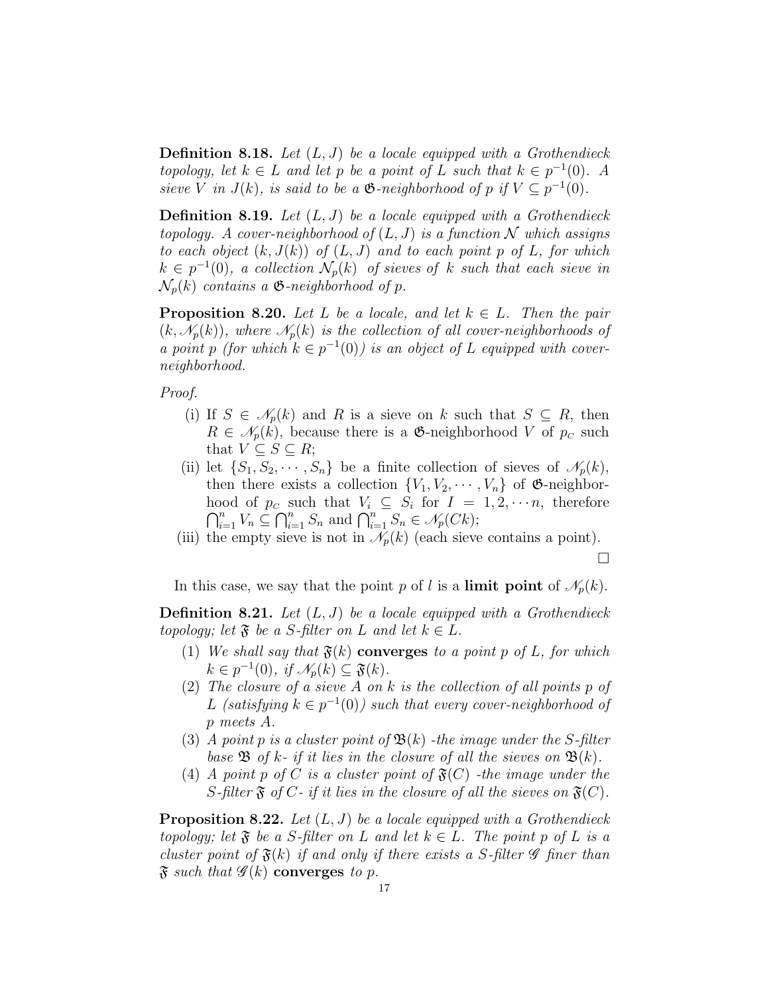**Definition 8.18.** Let  $(L, J)$  be a locale equipped with a Grothendieck topology, let  $k \in L$  and let p be a point of L such that  $k \in p^{-1}(0)$ . A sieve V in  $J(k)$ , is said to be a  $\mathfrak{G}\text{-neighborhood of }p$  if  $V \subseteq p^{-1}(0)$ .

**Definition 8.19.** Let  $(L, J)$  be a locale equipped with a Grothendieck topology. A cover-neighborhood of  $(L, J)$  is a function N which assigns to each object  $(k, J(k))$  of  $(L, J)$  and to each point p of L, for which  $k \in p^{-1}(0)$ , a collection  $\mathcal{N}_p(k)$  of sieves of k such that each sieve in  $\mathcal{N}_p(k)$  contains a  $\mathfrak{G}\text{-neighborhood of }p$ .

<span id="page-16-0"></span>**Proposition 8.20.** Let L be a locale, and let  $k \in L$ . Then the pair  $(k, \mathcal{N}_p(k))$ , where  $\mathcal{N}_p(k)$  is the collection of all cover-neighborhoods of a point p (for which  $k \in p^{-1}(0)$ ) is an object of L equipped with coverneighborhood.

Proof.

- (i) If  $S \in \mathcal{N}_p(k)$  and R is a sieve on k such that  $S \subseteq R$ , then  $R \in \mathscr{N}_p(k)$ , because there is a  $\mathfrak{G}\text{-neighborhood }V$  of  $p_{\mathcal{C}}$  such that  $V \subseteq S \subseteq R$ ;
- (ii) let  $\{S_1, S_2, \cdots, S_n\}$  be a finite collection of sieves of  $\mathscr{N}_p(k)$ , then there exists a collection  $\{V_1, V_2, \cdots, V_n\}$  of  $\mathfrak{G}\text{-neighbor-}$ hood of  $p_c$  such that  $V_i \subseteq S_i$  for  $I = 1, 2, \dots, n$ , therefore  $\bigcap_{i=1}^n V_n \subseteq \bigcap_{i=1}^n S_n$  and  $\bigcap_{i=1}^n S_n \in \mathcal{N}_p(Ck)$ ;
- (iii) the empty sieve is not in  $\mathcal{N}_p(k)$  (each sieve contains a point).

 $\Box$ 

In this case, we say that the point p of l is a limit point of  $\mathcal{N}_p(k)$ .

**Definition 8.21.** Let  $(L, J)$  be a locale equipped with a Grothendieck topology; let  $\mathfrak{F}$  be a S-filter on L and let  $k \in L$ .

- (1) We shall say that  $\mathfrak{F}(k)$  converges to a point p of L, for which  $k \in p^{-1}(0)$ , if  $\mathcal{N}_p(k) \subseteq \mathfrak{F}(k)$ .
- (2) The closure of a sieve  $A$  on  $k$  is the collection of all points  $p$  of L (satisfying  $k \in p^{-1}(0)$ ) such that every cover-neighborhood of p meets A.
- (3) A point p is a cluster point of  $\mathfrak{B}(k)$  -the image under the S-filter base  $\mathfrak{B}$  of k- if it lies in the closure of all the sieves on  $\mathfrak{B}(k)$ .
- (4) A point p of C is a cluster point of  $\mathfrak{F}(C)$  -the image under the S-filter  $\mathfrak F$  of C- if it lies in the closure of all the sieves on  $\mathfrak F(C)$ .

<span id="page-16-1"></span>**Proposition 8.22.** Let  $(L, J)$  be a locale equipped with a Grothendieck topology; let  $\mathfrak F$  be a S-filter on L and let  $k \in L$ . The point p of L is a cluster point of  $\mathfrak{F}(k)$  if and only if there exists a S-filter  $\mathscr G$  finer than  $\mathfrak F$  such that  $\mathscr G(k)$  converges to p.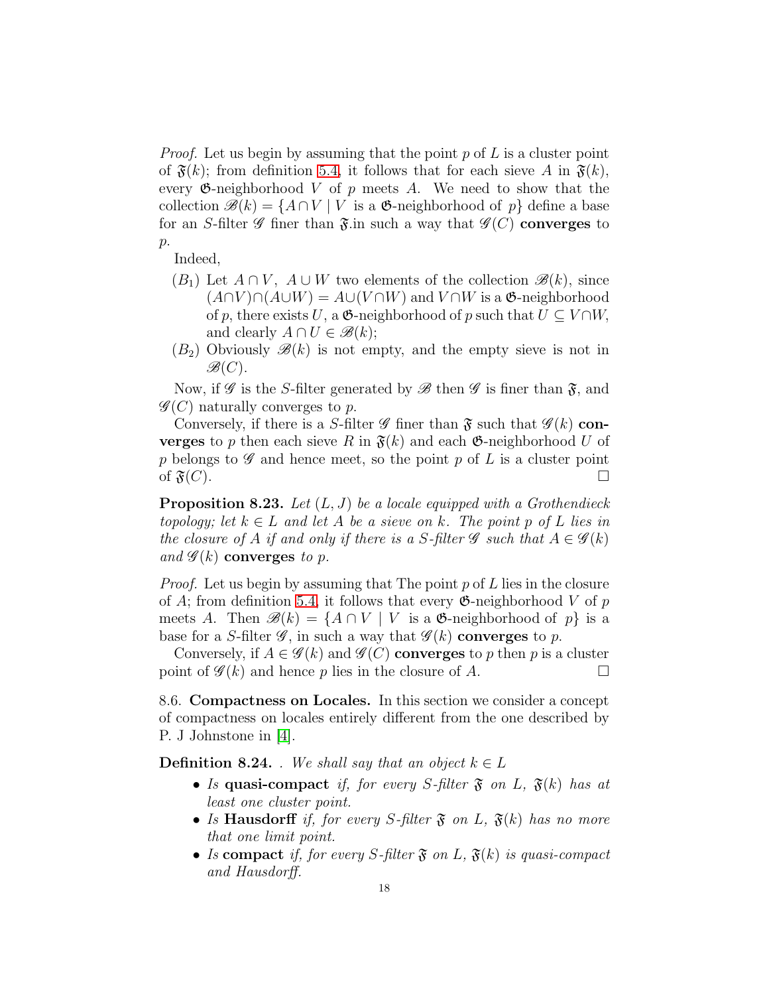*Proof.* Let us begin by assuming that the point  $p$  of  $L$  is a cluster point of  $\mathfrak{F}(k)$ ; from definition [5.4,](#page-7-0) it follows that for each sieve A in  $\mathfrak{F}(k)$ , every  $\mathfrak{G}\text{-neighborhood }V$  of p meets A. We need to show that the collection  $\mathscr{B}(k) = \{A \cap V \mid V \text{ is a } \mathfrak{G}\text{-neighborhood of } p\}$  define a base for an S-filter  $\mathscr G$  finer than  $\mathfrak{F}$  in such a way that  $\mathscr G(C)$  converges to  $p$ .

Indeed,

- $(B_1)$  Let  $A \cap V$ ,  $A \cup W$  two elements of the collection  $\mathscr{B}(k)$ , since  $(A \cap V) \cap (A \cup W) = A \cup (V \cap W)$  and  $V \cap W$  is a  $\mathfrak{G}\text{-neighborhood}$ of p, there exists U, a  $\mathfrak{G}\text{-neighborhood of }p$  such that  $U \subseteq V \cap W$ , and clearly  $A \cap U \in \mathscr{B}(k)$ ;
- $(B_2)$  Obviously  $\mathscr{B}(k)$  is not empty, and the empty sieve is not in  $\mathscr{B}(C)$ .

Now, if  $\mathscr G$  is the S-filter generated by  $\mathscr B$  then  $\mathscr G$  is finer than  $\mathfrak F$ , and  $\mathscr{G}(C)$  naturally converges to p.

Conversely, if there is a S-filter  $\mathscr G$  finer than  $\mathfrak F$  such that  $\mathscr G(k)$  con**verges** to p then each sieve R in  $\mathfrak{F}(k)$  and each  $\mathfrak{G}$ -neighborhood U of p belongs to  $\mathscr G$  and hence meet, so the point p of L is a cluster point of  $\mathfrak{F}(C)$ .

<span id="page-17-0"></span>**Proposition 8.23.** Let  $(L, J)$  be a locale equipped with a Grothendieck topology; let  $k \in L$  and let A be a sieve on k. The point p of L lies in the closure of A if and only if there is a S-filter  $\mathscr G$  such that  $A \in \mathscr G(k)$ and  $\mathscr{G}(k)$  converges to p.

*Proof.* Let us begin by assuming that The point  $p$  of  $L$  lies in the closure of A; from definition [5.4,](#page-7-0) it follows that every  $\mathfrak{G}\text{-neighborhood }V$  of p meets A. Then  $\mathscr{B}(k) = \{A \cap V \mid V \text{ is a } \mathfrak{G}\text{-neighborhood of } p\}$  is a base for a S-filter  $\mathscr G$ , in such a way that  $\mathscr G(k)$  converges to p.

Conversely, if  $A \in \mathscr{G}(k)$  and  $\mathscr{G}(C)$  converges to p then p is a cluster point of  $\mathscr{G}(k)$  and hence p lies in the closure of A.

8.6. Compactness on Locales. In this section we consider a concept of compactness on locales entirely different from the one described by P. J Johnstone in [\[4\]](#page-19-4).

**Definition 8.24.** . We shall say that an object  $k \in L$ 

- Is quasi-compact if, for every S-filter  $\mathfrak{F}$  on L,  $\mathfrak{F}(k)$  has at least one cluster point.
- Is Hausdorff if, for every S-filter  $\mathfrak{F}$  on L,  $\mathfrak{F}(k)$  has no more that one limit point.
- Is compact if, for every S-filter  $\mathfrak{F}$  on L,  $\mathfrak{F}(k)$  is quasi-compact and Hausdorff.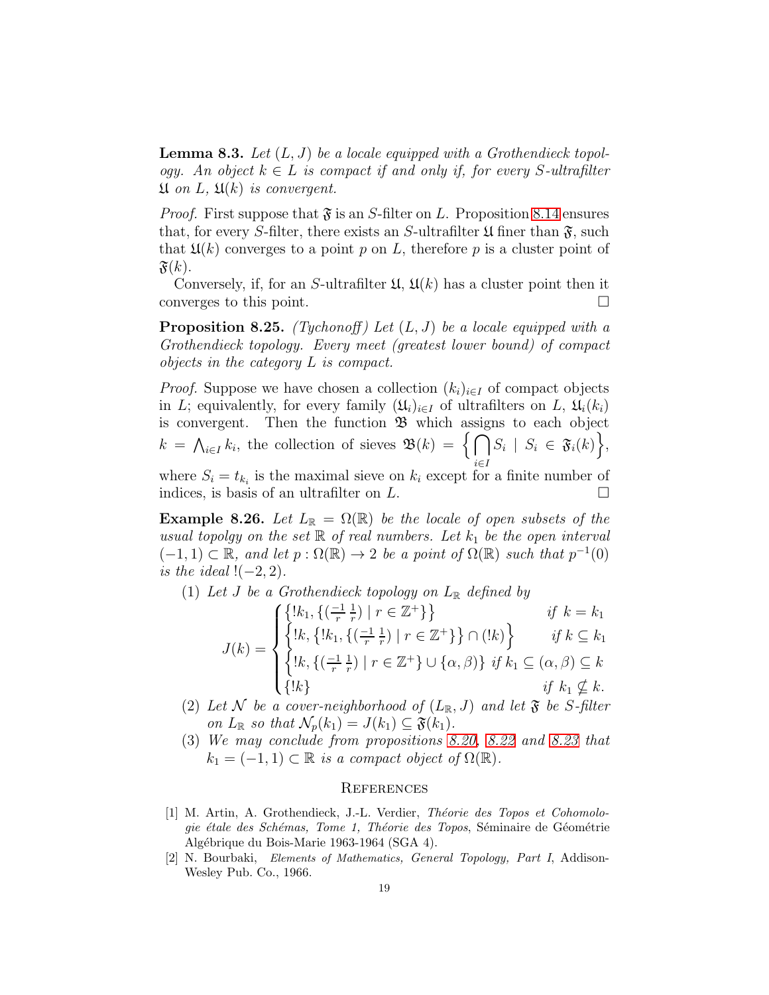**Lemma 8.3.** Let  $(L, J)$  be a locale equipped with a Grothendieck topology. An object  $k \in L$  is compact if and only if, for every S-ultrafilter  $\mathfrak U$  on L,  $\mathfrak U(k)$  is convergent.

*Proof.* First suppose that  $\mathfrak{F}$  is an S-filter on L. Proposition [8.14](#page-14-0) ensures that, for every S-filter, there exists an S-ultrafilter  $\mathfrak U$  finer than  $\mathfrak F$ , such that  $\mathfrak{U}(k)$  converges to a point p on L, therefore p is a cluster point of  $\mathfrak{F}(k)$ .

Conversely, if, for an S-ultrafilter  $\mathfrak{U}, \mathfrak{U}(k)$  has a cluster point then it converges to this point.

**Proposition 8.25.** (Tychonoff) Let  $(L, J)$  be a locale equipped with a Grothendieck topology. Every meet (greatest lower bound) of compact objects in the category L is compact.

*Proof.* Suppose we have chosen a collection  $(k_i)_{i\in I}$  of compact objects in L; equivalently, for every family  $(\mathfrak{U}_i)_{i\in I}$  of ultrafilters on L,  $\mathfrak{U}_i(k_i)$ is convergent. Then the function  $\mathfrak{B}$  which assigns to each object  $k = \bigwedge_{i \in I} k_i$ , the collection of sieves  $\mathfrak{B}(k) = \{ \bigcap$ i∈I  $S_i \mid S_i \in \mathfrak{F}_i(k) \big\},\$ 

where  $S_i = t_{k_i}$  is the maximal sieve on  $k_i$  except for a finite number of indices, is basis of an ultrafilter on  $L$ .

**Example 8.26.** Let  $L_{\mathbb{R}} = \Omega(\mathbb{R})$  be the locale of open subsets of the usual topolgy on the set  $\mathbb R$  of real numbers. Let  $k_1$  be the open interval  $(-1, 1) \subset \mathbb{R}$ , and let  $p : \Omega(\mathbb{R}) \to 2$  be a point of  $\Omega(\mathbb{R})$  such that  $p^{-1}(0)$ is the ideal  $!(-2, 2)$ .

(1) Let J be a Grothendieck topology on  $L_{\mathbb{R}}$  defined by

$$
J(k) = \begin{cases} \{!k_1, \{(\frac{-1}{r}, \frac{1}{r}) \mid r \in \mathbb{Z}^+\} \} & \text{if } k = k_1 \\ \{!k, \{!k_1, \{(\frac{-1}{r}, \frac{1}{r}) \mid r \in \mathbb{Z}^+\} \} \cap (!k) \} & \text{if } k \subseteq k_1 \\ \{!k, \{(\frac{-1}{r}, \frac{1}{r}) \mid r \in \mathbb{Z}^+\} \cup \{\alpha, \beta\} \} & \text{if } k_1 \subseteq (\alpha, \beta) \subseteq k \\ \{!k \} & \text{if } k_1 \nsubseteq k. \end{cases}
$$

- (2) Let N be a cover-neighborhood of  $(L_{\mathbb{R}}, J)$  and let  $\mathfrak{F}$  be S-filter on  $L_{\mathbb{R}}$  so that  $\mathcal{N}_p(k_1) = J(k_1) \subseteq \mathfrak{F}(k_1)$ .
- (3) We may conclude from propositions [8.20,](#page-16-0) [8.22](#page-16-1) and [8.23](#page-17-0) that  $k_1 = (-1, 1) \subset \mathbb{R}$  is a compact object of  $\Omega(\mathbb{R})$ .

### **REFERENCES**

- [1] M. Artin, A. Grothendieck, J.-L. Verdier, Théorie des Topos et Cohomologie étale des Schémas, Tome 1, Théorie des Topos, Séminaire de Géométrie Algébrique du Bois-Marie 1963-1964 (SGA 4).
- [2] N. Bourbaki, Elements of Mathematics, General Topology, Part I, Addison-Wesley Pub. Co., 1966.